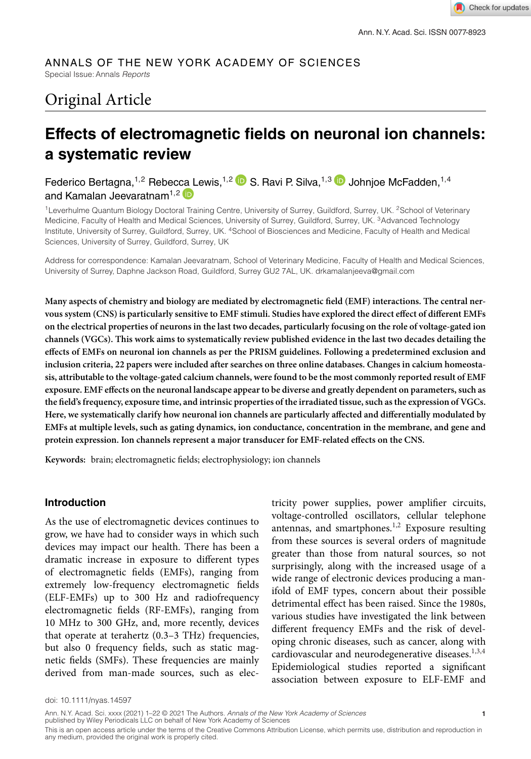## ANNALS OF THE NEW YORK ACADEMY OF SCIENCES

Special Issue: Annals *Reports*

# Original Article

## **Effects of electromagnetic fields on neuronal ion channels: a systematic review**

Federico Bertagna,<sup>1,2</sup> Rebec[ca L](https://orcid.org/0000-0002-6232-388X)ewis,<sup>1,2</sup> D S. Ravi P. Silva,<sup>1,3</sup> D Johnjoe McFadden,<sup>1,4</sup> and Kamalan Jeevaratnam<sup>1,2</sup>

<sup>1</sup>Leverhulme Quantum Biology Doctoral Training Centre, University of Surrey, Guildford, Surrey, UK. <sup>2</sup>School of Veterinary Medicine, Faculty of Health and Medical Sciences, University of Surrey, Guildford, Surrey, UK. <sup>3</sup>Advanced Technology Institute, University of Surrey, Guildford, Surrey, UK. 4School of Biosciences and Medicine, Faculty of Health and Medical Sciences, University of Surrey, Guildford, Surrey, UK

Address for correspondence: Kamalan Jeevaratnam, School of Veterinary Medicine, Faculty of Health and Medical Sciences, University of Surrey, Daphne Jackson Road, Guildford, Surrey GU2 7AL, UK. drkamalanjeeva@gmail.com

**Many aspects of chemistry and biology are mediated by electromagnetic field (EMF) interactions. The central nervous system (CNS) is particularly sensitive to EMF stimuli. Studies have explored the direct effect of different EMFs on the electrical properties of neurons in the last two decades, particularly focusing on the role of voltage-gated ion channels (VGCs). This work aims to systematically review published evidence in the last two decades detailing the effects of EMFs on neuronal ion channels as per the PRISM guidelines. Following a predetermined exclusion and inclusion criteria, 22 papers were included after searches on three online databases. Changes in calcium homeostasis, attributable to the voltage-gated calcium channels, were found to be the most commonly reported result of EMF exposure. EMF effects on the neuronal landscape appear to be diverse and greatly dependent on parameters, such as the field's frequency, exposure time, and intrinsic properties of the irradiated tissue, such as the expression of VGCs. Here, we systematically clarify how neuronal ion channels are particularly affected and differentially modulated by EMFs at multiple levels, such as gating dynamics, ion conductance, concentration in the membrane, and gene and protein expression. Ion channels represent a major transducer for EMF-related effects on the CNS.**

**Keywords:** brain; electromagnetic fields; electrophysiology; ion channels

#### **Introduction**

As the use of electromagnetic devices continues to grow, we have had to consider ways in which such devices may impact our health. There has been a dramatic increase in exposure to different types of electromagnetic fields (EMFs), ranging from extremely low-frequency electromagnetic fields (ELF-EMFs) up to 300 Hz and radiofrequency electromagnetic fields (RF-EMFs), ranging from 10 MHz to 300 GHz, and, more recently, devices that operate at terahertz (0.3–3 THz) frequencies, but also 0 frequency fields, such as static magnetic fields (SMFs). These frequencies are mainly derived from man-made sources, such as electricity power supplies, power amplifier circuits, voltage-controlled oscillators, cellular telephone antennas, and smartphones. $1,2$  Exposure resulting from these sources is several orders of magnitude greater than those from natural sources, so not surprisingly, along with the increased usage of a wide range of electronic devices producing a manifold of EMF types, concern about their possible detrimental effect has been raised. Since the 1980s, various studies have investigated the link between different frequency EMFs and the risk of developing chronic diseases, such as cancer, along with cardiovascular and neurodegenerative diseases.<sup>1,3,4</sup> Epidemiological studies reported a significant association between exposure to ELF-EMF and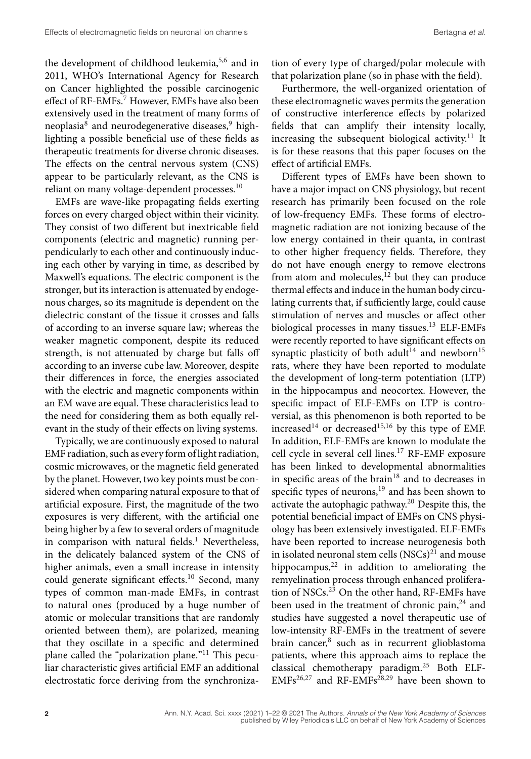the development of childhood leukemia,<sup>5,6</sup> and in 2011, WHO's International Agency for Research on Cancer highlighted the possible carcinogenic effect of RF-EMFs.<sup>7</sup> However, EMFs have also been extensively used in the treatment of many forms of neoplasia<sup>8</sup> and neurodegenerative diseases,<sup>9</sup> highlighting a possible beneficial use of these fields as therapeutic treatments for diverse chronic diseases. The effects on the central nervous system (CNS) appear to be particularly relevant, as the CNS is reliant on many voltage-dependent processes.<sup>10</sup>

EMFs are wave-like propagating fields exerting forces on every charged object within their vicinity. They consist of two different but inextricable field components (electric and magnetic) running perpendicularly to each other and continuously inducing each other by varying in time, as described by Maxwell's equations. The electric component is the stronger, but its interaction is attenuated by endogenous charges, so its magnitude is dependent on the dielectric constant of the tissue it crosses and falls of according to an inverse square law; whereas the weaker magnetic component, despite its reduced strength, is not attenuated by charge but falls off according to an inverse cube law. Moreover, despite their differences in force, the energies associated with the electric and magnetic components within an EM wave are equal. These characteristics lead to the need for considering them as both equally relevant in the study of their effects on living systems.

Typically, we are continuously exposed to natural EMF radiation, such as every form of light radiation, cosmic microwaves, or the magnetic field generated by the planet. However, two key points must be considered when comparing natural exposure to that of artificial exposure. First, the magnitude of the two exposures is very different, with the artificial one being higher by a few to several orders of magnitude in comparison with natural fields. $<sup>1</sup>$  Nevertheless,</sup> in the delicately balanced system of the CNS of higher animals, even a small increase in intensity could generate significant effects.<sup>10</sup> Second, many types of common man-made EMFs, in contrast to natural ones (produced by a huge number of atomic or molecular transitions that are randomly oriented between them), are polarized, meaning that they oscillate in a specific and determined plane called the "polarization plane."11 This peculiar characteristic gives artificial EMF an additional electrostatic force deriving from the synchronization of every type of charged/polar molecule with that polarization plane (so in phase with the field).

Furthermore, the well-organized orientation of these electromagnetic waves permits the generation of constructive interference effects by polarized fields that can amplify their intensity locally, increasing the subsequent biological activity.<sup>11</sup> It is for these reasons that this paper focuses on the effect of artificial EMFs.

Different types of EMFs have been shown to have a major impact on CNS physiology, but recent research has primarily been focused on the role of low-frequency EMFs. These forms of electromagnetic radiation are not ionizing because of the low energy contained in their quanta, in contrast to other higher frequency fields. Therefore, they do not have enough energy to remove electrons from atom and molecules, $12$  but they can produce thermal effects and induce in the human body circulating currents that, if sufficiently large, could cause stimulation of nerves and muscles or affect other biological processes in many tissues.<sup>13</sup> ELF-EMFs were recently reported to have significant effects on synaptic plasticity of both adult<sup>14</sup> and newborn<sup>15</sup> rats, where they have been reported to modulate the development of long-term potentiation (LTP) in the hippocampus and neocortex. However, the specific impact of ELF-EMFs on LTP is controversial, as this phenomenon is both reported to be increased<sup>14</sup> or decreased<sup>15,16</sup> by this type of EMF. In addition, ELF-EMFs are known to modulate the cell cycle in several cell lines.17 RF-EMF exposure has been linked to developmental abnormalities in specific areas of the brain $18$  and to decreases in specific types of neurons,<sup>19</sup> and has been shown to activate the autophagic pathway. $20$  Despite this, the potential beneficial impact of EMFs on CNS physiology has been extensively investigated. ELF-EMFs have been reported to increase neurogenesis both in isolated neuronal stem cells  $(NSCs)^{21}$  and mouse hippocampus, $22$  in addition to ameliorating the remyelination process through enhanced proliferation of NSCs. $^{23}$  On the other hand, RF-EMFs have been used in the treatment of chronic pain,<sup>24</sup> and studies have suggested a novel therapeutic use of low-intensity RF-EMFs in the treatment of severe brain cancer,<sup>8</sup> such as in recurrent glioblastoma patients, where this approach aims to replace the classical chemotherapy paradigm.25 Both ELF- $EMFs^{26,27}$  and RF-EMFs<sup>28,29</sup> have been shown to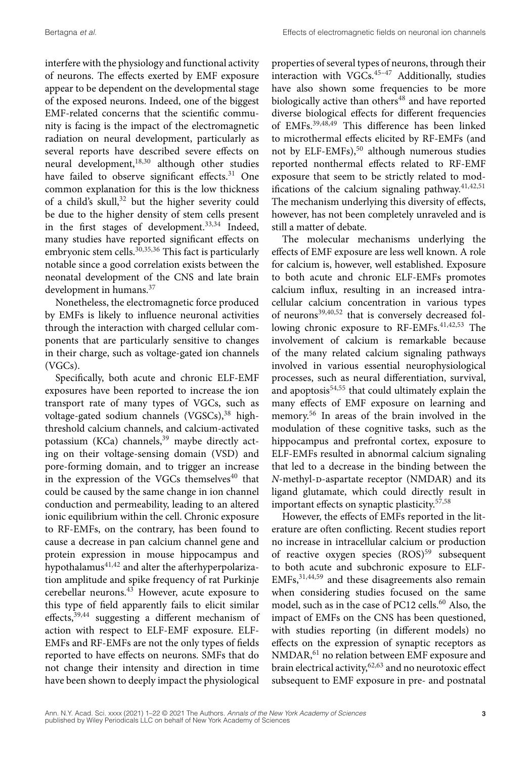interfere with the physiology and functional activity of neurons. The effects exerted by EMF exposure appear to be dependent on the developmental stage of the exposed neurons. Indeed, one of the biggest EMF-related concerns that the scientific community is facing is the impact of the electromagnetic radiation on neural development, particularly as several reports have described severe effects on neural development,18,30 although other studies have failed to observe significant effects.<sup>31</sup> One common explanation for this is the low thickness of a child's skull, $32$  but the higher severity could be due to the higher density of stem cells present in the first stages of development. $33,34$  Indeed, many studies have reported significant effects on embryonic stem cells.<sup>30,35,36</sup> This fact is particularly notable since a good correlation exists between the neonatal development of the CNS and late brain development in humans.37

Nonetheless, the electromagnetic force produced by EMFs is likely to influence neuronal activities through the interaction with charged cellular components that are particularly sensitive to changes in their charge, such as voltage-gated ion channels (VGCs).

Specifically, both acute and chronic ELF-EMF exposures have been reported to increase the ion transport rate of many types of VGCs, such as voltage-gated sodium channels  $(VGSCs)$ ,<sup>38</sup> highthreshold calcium channels, and calcium-activated potassium (KCa) channels,<sup>39</sup> maybe directly acting on their voltage-sensing domain (VSD) and pore-forming domain, and to trigger an increase in the expression of the VGCs themselves $40$  that could be caused by the same change in ion channel conduction and permeability, leading to an altered ionic equilibrium within the cell. Chronic exposure to RF-EMFs, on the contrary, has been found to cause a decrease in pan calcium channel gene and protein expression in mouse hippocampus and hypothalamus<sup>41,42</sup> and alter the afterhyperpolarization amplitude and spike frequency of rat Purkinje cerebellar neurons.43 However, acute exposure to this type of field apparently fails to elicit similar effects,<sup>39,44</sup> suggesting a different mechanism of action with respect to ELF-EMF exposure. ELF-EMFs and RF-EMFs are not the only types of fields reported to have effects on neurons. SMFs that do not change their intensity and direction in time have been shown to deeply impact the physiological

properties of several types of neurons, through their interaction with  $VGCs$ .<sup>45-47</sup> Additionally, studies have also shown some frequencies to be more biologically active than others<sup>48</sup> and have reported diverse biological effects for different frequencies of EMFs.39,48,49 This difference has been linked to microthermal effects elicited by RF-EMFs (and not by ELF-EMFs),<sup>50</sup> although numerous studies reported nonthermal effects related to RF-EMF exposure that seem to be strictly related to modifications of the calcium signaling pathway. $41,42,51$ The mechanism underlying this diversity of effects, however, has not been completely unraveled and is still a matter of debate.

The molecular mechanisms underlying the effects of EMF exposure are less well known. A role for calcium is, however, well established. Exposure to both acute and chronic ELF-EMFs promotes calcium influx, resulting in an increased intracellular calcium concentration in various types of neurons $39,40,52$  that is conversely decreased following chronic exposure to  $RF-EMFs$ . The involvement of calcium is remarkable because of the many related calcium signaling pathways involved in various essential neurophysiological processes, such as neural differentiation, survival, and apoptosis $54,55$  that could ultimately explain the many effects of EMF exposure on learning and memory.<sup>56</sup> In areas of the brain involved in the modulation of these cognitive tasks, such as the hippocampus and prefrontal cortex, exposure to ELF-EMFs resulted in abnormal calcium signaling that led to a decrease in the binding between the *N*-methyl-p-aspartate receptor (NMDAR) and its ligand glutamate, which could directly result in important effects on synaptic plasticity. $57,58$ 

However, the effects of EMFs reported in the literature are often conflicting. Recent studies report no increase in intracellular calcium or production of reactive oxygen species (ROS)<sup>59</sup> subsequent to both acute and subchronic exposure to ELF-EMFs,31,44,59 and these disagreements also remain when considering studies focused on the same model, such as in the case of PC12 cells.<sup>60</sup> Also, the impact of EMFs on the CNS has been questioned, with studies reporting (in different models) no effects on the expression of synaptic receptors as NMDAR,61 no relation between EMF exposure and brain electrical activity,<sup>62,63</sup> and no neurotoxic effect subsequent to EMF exposure in pre- and postnatal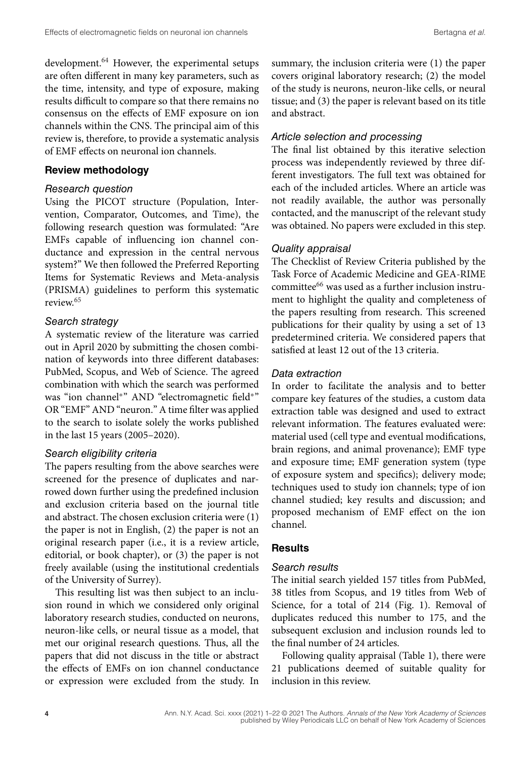development.<sup>64</sup> However, the experimental setups are often different in many key parameters, such as the time, intensity, and type of exposure, making results difficult to compare so that there remains no consensus on the effects of EMF exposure on ion channels within the CNS. The principal aim of this review is, therefore, to provide a systematic analysis of EMF effects on neuronal ion channels.

#### **Review methodology**

#### *Research question*

Using the PICOT structure (Population, Intervention, Comparator, Outcomes, and Time), the following research question was formulated: "Are EMFs capable of influencing ion channel conductance and expression in the central nervous system?" We then followed the Preferred Reporting Items for Systematic Reviews and Meta-analysis (PRISMA) guidelines to perform this systematic review.65

## *Search strategy*

A systematic review of the literature was carried out in April 2020 by submitting the chosen combination of keywords into three different databases: PubMed, Scopus, and Web of Science. The agreed combination with which the search was performed was "ion channel∗" AND "electromagnetic field∗" OR "EMF" AND "neuron." A time filter was applied to the search to isolate solely the works published in the last 15 years (2005–2020).

#### *Search eligibility criteria*

The papers resulting from the above searches were screened for the presence of duplicates and narrowed down further using the predefined inclusion and exclusion criteria based on the journal title and abstract. The chosen exclusion criteria were (1) the paper is not in English, (2) the paper is not an original research paper (i.e., it is a review article, editorial, or book chapter), or (3) the paper is not freely available (using the institutional credentials of the University of Surrey).

This resulting list was then subject to an inclusion round in which we considered only original laboratory research studies, conducted on neurons, neuron-like cells, or neural tissue as a model, that met our original research questions. Thus, all the papers that did not discuss in the title or abstract the effects of EMFs on ion channel conductance or expression were excluded from the study. In

summary, the inclusion criteria were (1) the paper covers original laboratory research; (2) the model of the study is neurons, neuron-like cells, or neural tissue; and (3) the paper is relevant based on its title and abstract.

#### *Article selection and processing*

The final list obtained by this iterative selection process was independently reviewed by three different investigators. The full text was obtained for each of the included articles. Where an article was not readily available, the author was personally contacted, and the manuscript of the relevant study was obtained. No papers were excluded in this step.

#### *Quality appraisal*

The Checklist of Review Criteria published by the Task Force of Academic Medicine and GEA-RIME committee<sup>66</sup> was used as a further inclusion instrument to highlight the quality and completeness of the papers resulting from research. This screened publications for their quality by using a set of 13 predetermined criteria. We considered papers that satisfied at least 12 out of the 13 criteria.

## *Data extraction*

In order to facilitate the analysis and to better compare key features of the studies, a custom data extraction table was designed and used to extract relevant information. The features evaluated were: material used (cell type and eventual modifications, brain regions, and animal provenance); EMF type and exposure time; EMF generation system (type of exposure system and specifics); delivery mode; techniques used to study ion channels; type of ion channel studied; key results and discussion; and proposed mechanism of EMF effect on the ion channel.

#### **Results**

#### *Search results*

The initial search yielded 157 titles from PubMed, 38 titles from Scopus, and 19 titles from Web of Science, for a total of 214 (Fig. 1). Removal of duplicates reduced this number to 175, and the subsequent exclusion and inclusion rounds led to the final number of 24 articles.

Following quality appraisal (Table 1), there were 21 publications deemed of suitable quality for inclusion in this review.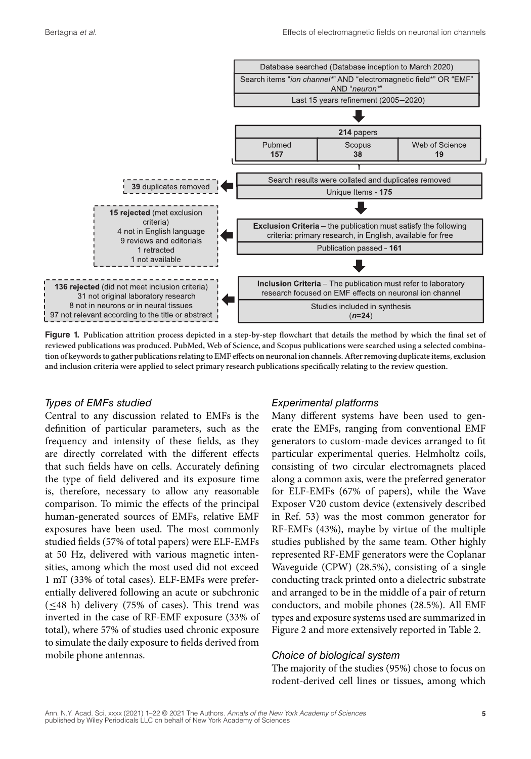

**Figure 1. Publication attrition process depicted in a step-by-step flowchart that details the method by which the final set of reviewed publications was produced. PubMed, Web of Science, and Scopus publications were searched using a selected combination of keywords to gather publications relating to EMF effects on neuronal ion channels. After removing duplicate items, exclusion and inclusion criteria were applied to select primary research publications specifically relating to the review question.**

#### *Types of EMFs studied*

Central to any discussion related to EMFs is the definition of particular parameters, such as the frequency and intensity of these fields, as they are directly correlated with the different effects that such fields have on cells. Accurately defining the type of field delivered and its exposure time is, therefore, necessary to allow any reasonable comparison. To mimic the effects of the principal human-generated sources of EMFs, relative EMF exposures have been used. The most commonly studied fields (57% of total papers) were ELF-EMFs at 50 Hz, delivered with various magnetic intensities, among which the most used did not exceed 1 mT (33% of total cases). ELF-EMFs were preferentially delivered following an acute or subchronic  $(\leq 48$  h) delivery (75% of cases). This trend was inverted in the case of RF-EMF exposure (33% of total), where 57% of studies used chronic exposure to simulate the daily exposure to fields derived from mobile phone antennas.

#### *Experimental platforms*

Many different systems have been used to generate the EMFs, ranging from conventional EMF generators to custom-made devices arranged to fit particular experimental queries. Helmholtz coils, consisting of two circular electromagnets placed along a common axis, were the preferred generator for ELF-EMFs (67% of papers), while the Wave Exposer V20 custom device (extensively described in Ref. 53) was the most common generator for RF-EMFs (43%), maybe by virtue of the multiple studies published by the same team. Other highly represented RF-EMF generators were the Coplanar Waveguide (CPW) (28.5%), consisting of a single conducting track printed onto a dielectric substrate and arranged to be in the middle of a pair of return conductors, and mobile phones (28.5%). All EMF types and exposure systems used are summarized in Figure 2 and more extensively reported in Table 2.

#### *Choice of biological system*

The majority of the studies (95%) chose to focus on rodent-derived cell lines or tissues, among which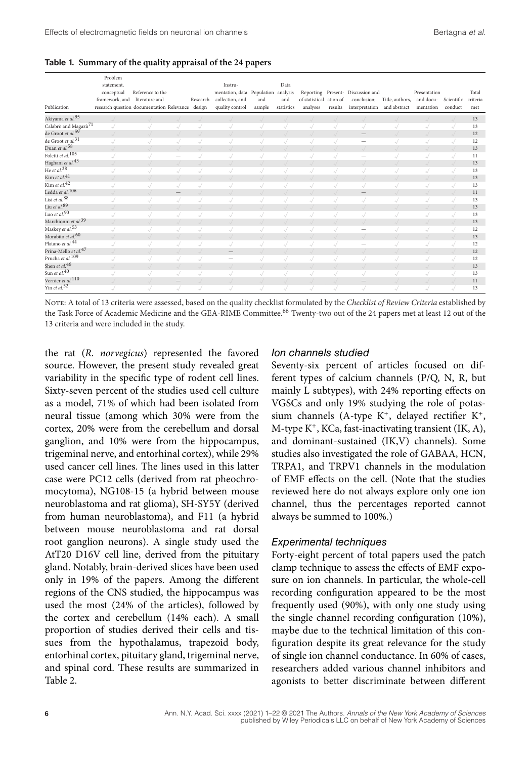**Table 1. Summary of the quality appraisal of the 24 papers**

| Publication                      | Problem<br>statement,<br>conceptual<br>framework, and literature and<br>research question documentation Relevance design | Reference to the |                          | Research | Instru-<br>mentation, data Population analysis<br>collection, and<br>quality control | and<br>sample | Data<br>and<br>statistics | of statistical ation of<br>analyses | results | Reporting Present- Discussion and<br>conclusion;<br>interpretation and abstract | Title, authors, and docu- | Presentation<br>mentation | Scientific<br>conduct | Total<br>criteria<br>met |
|----------------------------------|--------------------------------------------------------------------------------------------------------------------------|------------------|--------------------------|----------|--------------------------------------------------------------------------------------|---------------|---------------------------|-------------------------------------|---------|---------------------------------------------------------------------------------|---------------------------|---------------------------|-----------------------|--------------------------|
| Akiyama et al. <sup>95</sup>     |                                                                                                                          |                  |                          |          |                                                                                      |               |                           |                                     |         |                                                                                 |                           |                           |                       | 13                       |
| Calabrò and Magazù <sup>71</sup> |                                                                                                                          |                  |                          |          |                                                                                      |               |                           |                                     |         |                                                                                 |                           |                           |                       | 13                       |
| de Groot et al. <sup>59</sup>    |                                                                                                                          |                  |                          |          |                                                                                      |               |                           |                                     |         | $\qquad \qquad -$                                                               |                           |                           |                       | 12                       |
| de Groot et al. <sup>31</sup>    |                                                                                                                          |                  |                          |          |                                                                                      |               |                           |                                     |         |                                                                                 |                           |                           |                       | 12                       |
| Duan et al. <sup>58</sup>        |                                                                                                                          |                  |                          |          |                                                                                      |               |                           |                                     |         | J                                                                               |                           |                           |                       | 13                       |
| Foletti et al. <sup>105</sup>    |                                                                                                                          |                  | $\overline{\phantom{a}}$ |          |                                                                                      |               |                           |                                     |         | -                                                                               |                           |                           |                       | 11                       |
| Haghani et al. <sup>43</sup>     |                                                                                                                          |                  |                          |          |                                                                                      |               |                           |                                     |         |                                                                                 |                           |                           |                       | 13                       |
| He et al. <sup>38</sup>          |                                                                                                                          |                  |                          |          |                                                                                      |               |                           |                                     |         | $\sim$                                                                          |                           |                           |                       | 13                       |
| Kim et al. <sup>41</sup>         |                                                                                                                          |                  |                          |          |                                                                                      |               |                           |                                     |         |                                                                                 |                           |                           |                       | 13                       |
| Kim et al. <sup>42</sup>         |                                                                                                                          |                  | ×J                       |          |                                                                                      |               |                           |                                     |         | $\sqrt{}$                                                                       |                           |                           |                       | 13                       |
| Ledda et al. 106                 |                                                                                                                          |                  | $\qquad \qquad$          |          |                                                                                      |               |                           |                                     |         | $\sim$                                                                          |                           |                           |                       | 11                       |
| Lisi et al. <sup>88</sup>        |                                                                                                                          |                  | ×J                       |          |                                                                                      |               |                           |                                     |         | $\sqrt{}$                                                                       |                           |                           |                       | 13                       |
| Liu et al. <sup>89</sup>         |                                                                                                                          |                  |                          |          |                                                                                      |               |                           |                                     |         |                                                                                 |                           |                           |                       | 13                       |
| Luo et al. <sup>90</sup>         |                                                                                                                          |                  |                          |          |                                                                                      |               |                           |                                     |         |                                                                                 |                           |                           |                       | 13                       |
| Marchionni et al. <sup>39</sup>  |                                                                                                                          |                  |                          |          |                                                                                      |               |                           |                                     |         |                                                                                 |                           |                           |                       | 13                       |
| Maskey et al. <sup>53</sup>      |                                                                                                                          |                  |                          |          |                                                                                      |               |                           |                                     |         | -                                                                               |                           |                           |                       | 12                       |
| Morabito et al. <sup>60</sup>    |                                                                                                                          |                  |                          |          |                                                                                      |               |                           |                                     |         | . /                                                                             |                           |                           |                       | 13                       |
| Platano et al. <sup>44</sup>     |                                                                                                                          |                  |                          |          |                                                                                      |               |                           |                                     |         |                                                                                 |                           |                           |                       | 12                       |
| Prina-Mello et al. <sup>47</sup> |                                                                                                                          |                  |                          |          |                                                                                      |               |                           |                                     |         |                                                                                 |                           |                           |                       | 12                       |
| Prucha et al. <sup>109</sup>     |                                                                                                                          |                  |                          |          | -                                                                                    |               |                           |                                     |         |                                                                                 |                           |                           |                       | 12                       |
| Shen et al. <sup>46</sup>        |                                                                                                                          |                  |                          |          |                                                                                      |               |                           |                                     |         |                                                                                 |                           |                           |                       | 13                       |
| Sun et al. <sup>40</sup>         |                                                                                                                          |                  |                          |          |                                                                                      |               |                           |                                     |         |                                                                                 |                           |                           |                       | 13                       |
| Vernier et al. <sup>110</sup>    |                                                                                                                          |                  |                          |          |                                                                                      |               |                           |                                     |         | $\qquad \qquad -$                                                               |                           |                           |                       | 11                       |
| Yin et al. <sup>52</sup>         |                                                                                                                          | r)               | r)                       | r)       | $\sim$                                                                               |               |                           | s)                                  | $\sim$  | $\sqrt{}$                                                                       | ×)                        |                           | s)                    | 13                       |

Note: A total of 13 criteria were assessed, based on the quality checklist formulated by the *Checklist of Review Criteria* established by the Task Force of Academic Medicine and the GEA-RIME Committee.<sup>66</sup> Twenty-two out of the 24 papers met at least 12 out of the 13 criteria and were included in the study.

the rat (*R. norvegicus*) represented the favored source. However, the present study revealed great variability in the specific type of rodent cell lines. Sixty-seven percent of the studies used cell culture as a model, 71% of which had been isolated from neural tissue (among which 30% were from the cortex, 20% were from the cerebellum and dorsal ganglion, and 10% were from the hippocampus, trigeminal nerve, and entorhinal cortex), while 29% used cancer cell lines. The lines used in this latter case were PC12 cells (derived from rat pheochromocytoma), NG108-15 (a hybrid between mouse neuroblastoma and rat glioma), SH-SY5Y (derived from human neuroblastoma), and F11 (a hybrid between mouse neuroblastoma and rat dorsal root ganglion neurons). A single study used the AtT20 D16V cell line, derived from the pituitary gland. Notably, brain-derived slices have been used only in 19% of the papers. Among the different regions of the CNS studied, the hippocampus was used the most (24% of the articles), followed by the cortex and cerebellum (14% each). A small proportion of studies derived their cells and tissues from the hypothalamus, trapezoid body, entorhinal cortex, pituitary gland, trigeminal nerve, and spinal cord. These results are summarized in Table 2.

#### *Ion channels studied*

Seventy-six percent of articles focused on different types of calcium channels (P/Q, N, R, but mainly L subtypes), with 24% reporting effects on VGSCs and only 19% studying the role of potassium channels (A-type  $K^+$ , delayed rectifier  $K^+$ , M-type K+, KCa, fast-inactivating transient (IK, A), and dominant-sustained (IK,V) channels). Some studies also investigated the role of GABAA, HCN, TRPA1, and TRPV1 channels in the modulation of EMF effects on the cell. (Note that the studies reviewed here do not always explore only one ion channel, thus the percentages reported cannot always be summed to 100%.)

#### *Experimental techniques*

Forty-eight percent of total papers used the patch clamp technique to assess the effects of EMF exposure on ion channels. In particular, the whole-cell recording configuration appeared to be the most frequently used (90%), with only one study using the single channel recording configuration (10%), maybe due to the technical limitation of this configuration despite its great relevance for the study of single ion channel conductance. In 60% of cases, researchers added various channel inhibitors and agonists to better discriminate between different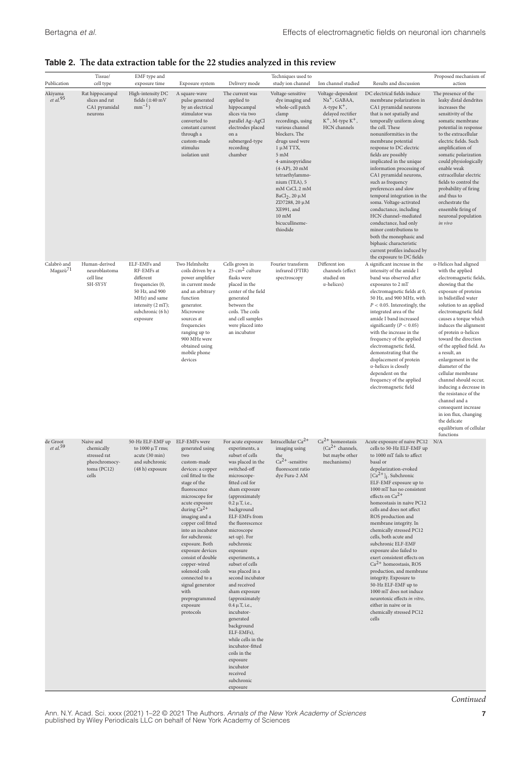## **Table 2. The data extraction table for the 22 studies analyzed in this review**

| Publication                         | Tissue/<br>cell type                                                             | EMF type and<br>exposure time                                                                                                                      | Exposure system                                                                                                                                                                                                                                                                                                                                                                                                                                              | Delivery mode                                                                                                                                                                                                                                                                                                                                                                                                                                                                                                                                                                                                                             | Techniques used to<br>study ion channel                                                                                                                                                                                                                                                                                                                                                                 | Ion channel studied                                                                                                     | Results and discussion                                                                                                                                                                                                                                                                                                                                                                                                                                                                                                                                                                                                                                                                                                                        | Proposed mechanism of<br>action                                                                                                                                                                                                                                                                                                                                                                                                                                                                                                                                                                                              |
|-------------------------------------|----------------------------------------------------------------------------------|----------------------------------------------------------------------------------------------------------------------------------------------------|--------------------------------------------------------------------------------------------------------------------------------------------------------------------------------------------------------------------------------------------------------------------------------------------------------------------------------------------------------------------------------------------------------------------------------------------------------------|-------------------------------------------------------------------------------------------------------------------------------------------------------------------------------------------------------------------------------------------------------------------------------------------------------------------------------------------------------------------------------------------------------------------------------------------------------------------------------------------------------------------------------------------------------------------------------------------------------------------------------------------|---------------------------------------------------------------------------------------------------------------------------------------------------------------------------------------------------------------------------------------------------------------------------------------------------------------------------------------------------------------------------------------------------------|-------------------------------------------------------------------------------------------------------------------------|-----------------------------------------------------------------------------------------------------------------------------------------------------------------------------------------------------------------------------------------------------------------------------------------------------------------------------------------------------------------------------------------------------------------------------------------------------------------------------------------------------------------------------------------------------------------------------------------------------------------------------------------------------------------------------------------------------------------------------------------------|------------------------------------------------------------------------------------------------------------------------------------------------------------------------------------------------------------------------------------------------------------------------------------------------------------------------------------------------------------------------------------------------------------------------------------------------------------------------------------------------------------------------------------------------------------------------------------------------------------------------------|
| Akiyama<br>$et$ al. $95$            | Rat hippocampal<br>slices and rat<br>CA1 pyramidal<br>neurons                    | High-intensity DC<br>fields $(\pm 40 \text{ mV})$<br>$mm^{-1}$ )                                                                                   | A square-wave<br>pulse generated<br>by an electrical<br>stimulator was<br>converted to<br>constant current<br>through a<br>custom-made<br>stimulus<br>isolation unit                                                                                                                                                                                                                                                                                         | The current was<br>applied to<br>hippocampal<br>slices via two<br>parallel Ag-AgCl<br>electrodes placed<br>on a<br>submerged-type<br>recording<br>chamber                                                                                                                                                                                                                                                                                                                                                                                                                                                                                 | Voltage-sensitive<br>dye imaging and<br>whole-cell patch<br>clamp<br>recordings, using<br>various channel<br>blockers. The<br>drugs used were<br>$1 \mu M$ TTX,<br>$5 \text{ }\mathrm{mM}$<br>4-aminopyridine<br>$(4-AP), 20$ mM<br>tetraethylammo-<br>nium (TEA), 5<br>mM CsCl, 2 mM<br>BaCl <sub>2</sub> , 20 $\mu$ M<br>ZD7288, 20 μM<br>XE991, and<br>$10 \text{ mM}$<br>bicucullineme-<br>thiodide | Voltage-dependent<br>$Na+$ , GABAA,<br>$A$ -type $K^+$ ,<br>delayed rectifier<br>$K^+$ , M-type $K^+$ ,<br>HCN channels | DC electrical fields induce<br>membrane polarization in<br>CA1 pyramidal neurons<br>that is not spatially and<br>temporally uniform along<br>the cell. These<br>nonuniformities in the<br>membrane potential<br>response to DC electric<br>fields are possibly<br>implicated in the unique<br>information processing of<br>CA1 pyramidal neurons,<br>such as frequency<br>preferences and slow<br>temporal integration in the<br>soma. Voltage-activated<br>conductance, including<br>HCN channel-mediated<br>conductance, had only<br>minor contributions to<br>both the monophasic and<br>biphasic characteristic<br>current profiles induced by<br>the exposure to DC fields                                                               | The presence of the<br>leaky distal dendrites<br>increases the<br>sensitivity of the<br>somatic membrane<br>potential in response<br>to the extracellular<br>electric fields. Such<br>amplification of<br>somatic polarization<br>could physiologically<br>enable weak<br>extracellular electric<br>fields to control the<br>probability of firing<br>and thus to<br>orchestrate the<br>ensemble firing of<br>neuronal population<br>in vivo                                                                                                                                                                                 |
| Calabrò and<br>Magazù <sup>71</sup> | Human-derived<br>neuroblastoma<br>cell line<br>SH-SY5Y                           | ELF-EMFs and<br>RF-EMFs at<br>different<br>frequencies (0,<br>50 Hz, and 900<br>MHz) and same<br>intensity (2 mT);<br>subchronic (6 h)<br>exposure | Two Helmholtz<br>coils driven by a<br>power amplifier<br>in current mode<br>and an arbitrary<br>function<br>generator.<br>Microwave<br>sources at<br>frequencies<br>ranging up to<br>900 MHz were<br>obtained using<br>mobile phone<br>devices                                                                                                                                                                                                               | Cells grown in<br>$25$ -cm <sup>2</sup> culture<br>flasks were<br>placed in the<br>center of the field<br>generated<br>between the<br>coils. The coils<br>and cell samples<br>were placed into<br>an incubator                                                                                                                                                                                                                                                                                                                                                                                                                            | Fourier transform<br>infrared (FTIR)<br>spectroscopy                                                                                                                                                                                                                                                                                                                                                    | Different ion<br>channels (effect<br>studied on<br>$\alpha$ -helices)                                                   | A significant increase in the<br>intensity of the amide I<br>band was observed after<br>exposures to 2 mT<br>electromagnetic fields at 0,<br>50 Hz, and 900 MHz, with<br>$P < 0.05$ . Interestingly, the<br>integrated area of the<br>amide I band increased<br>significantly ( $P < 0.05$ )<br>with the increase in the<br>frequency of the applied<br>electromagnetic field,<br>demonstrating that the<br>displacement of protein<br>$\alpha$ -helices is closely<br>dependent on the<br>frequency of the applied<br>electromagnetic field                                                                                                                                                                                                  | $\alpha$ -Helices had aligned<br>with the applied<br>electromagnetic fields,<br>showing that the<br>exposure of proteins<br>in bidistilled water<br>solution to an applied<br>electromagnetic field<br>causes a torque which<br>induces the alignment<br>of protein $\alpha$ -helices<br>toward the direction<br>of the applied field. As<br>a result, an<br>enlargement in the<br>diameter of the<br>cellular membrane<br>channel should occur,<br>inducing a decrease in<br>the resistance of the<br>channel and a<br>consequent increase<br>in ion flux, changing<br>the delicate<br>equilibrium of cellular<br>functions |
| de Groot<br>$et$ al. <sup>59</sup>  | Naive and<br>chemically<br>stressed rat<br>pheochromocy-<br>toma (PC12)<br>cells | 50-Hz ELF-EMF up<br>to $1000 \mu T$ rms;<br>acute (30 min)<br>and subchronic<br>(48 h) exposure                                                    | ELF-EMFs were<br>generated using<br>two<br>custom-made<br>devices: a copper<br>coil fitted to the<br>stage of the<br>fluorescence<br>microscope for<br>acute exposure<br>during $Ca^{2+}$<br>imaging and a<br>copper coil fitted<br>into an incubator<br>for subchronic<br>exposure. Both<br>exposure devices<br>consist of double<br>copper-wired<br>solenoid coils<br>connected to a<br>signal generator<br>with<br>preprogrammed<br>exposure<br>protocols | For acute exposure<br>experiments, a<br>subset of cells<br>was placed in the<br>switched-off<br>microscope-<br>fitted coil for<br>sham exposure<br>(approximately<br>$0.2 \mu T$ , i.e.,<br>background<br>ELF-EMFs from<br>the fluorescence<br>microscope<br>set-up). For<br>subchronic<br>exposure<br>experiments, a<br>subset of cells<br>was placed in a<br>second incubator<br>and received<br>sham exposure<br>(approximately<br>$0.4 \mu T$ , i.e.,<br>incubator-<br>generated<br>background<br>ELF-EMFs),<br>while cells in the<br>incubator-fitted<br>coils in the<br>exposure<br>incubator<br>received<br>subchronic<br>exposure | Intracellular Ca <sup>2+</sup><br>imaging using<br>the<br>$Ca2+$ -sensitive<br>fluorescent ratio<br>dye Fura-2 AM                                                                                                                                                                                                                                                                                       | $Ca2+ homeostasis$<br>$(Ca^{2+}$ channels,<br>but maybe other<br>mechanisms)                                            | Acute exposure of naive PC12<br>cells to 50-Hz ELF-EMF up<br>to 1000 mT fails to affect<br>basal or<br>depolarization-evoked<br>$[Ca2+]$ <sub>1</sub> . Subchronic<br>ELF-EMF exposure up to<br>$1000\ \mathrm{mT}$ has no consistent<br>effects on $Ca^{2+}$<br>homeostasis in naive PC12<br>cells and does not affect<br>ROS production and<br>membrane integrity. In<br>chemically stressed PC12<br>cells, both acute and<br>subchronic ELF-EMF<br>exposure also failed to<br>exert consistent effects on<br>$Ca2+ homeostasis, ROS$<br>production, and membrane<br>integrity. Exposure to<br>50-Hz ELF-EMF up to<br>1000 mT does not induce<br>neurotoxic effects in vitro.<br>either in naive or in<br>chemically stressed PC12<br>cells | N/A                                                                                                                                                                                                                                                                                                                                                                                                                                                                                                                                                                                                                          |

Ann. N.Y. Acad. Sci. xxxx (2021) 1–22 © 2021 The Authors. *Annals of the New York Academy of Sciences* **7** published by Wiley Periodicals LLC on behalf of New York Academy of Sciences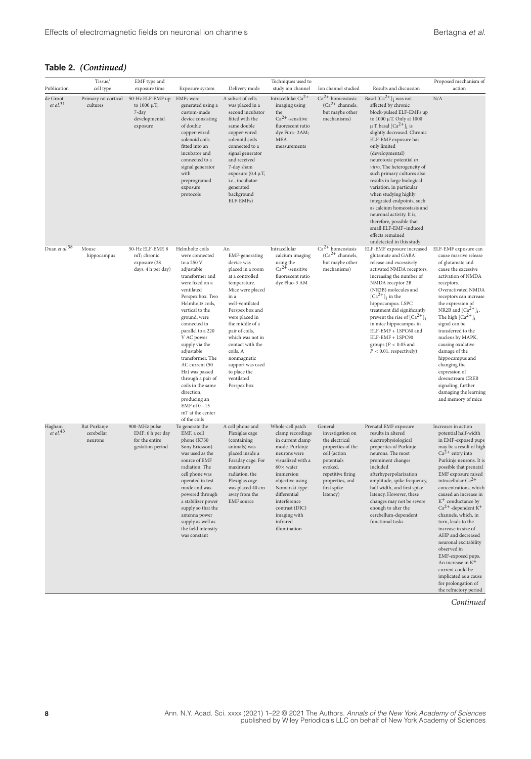| Publication                      | Tissue/<br>cell type                  | EMF type and<br>exposure time                                               | Exposure system                                                                                                                                                                                                                                                                                                                                                                                                                                      | Delivery mode                                                                                                                                                                                                                                                                                                                                          | Techniques used to<br>study ion channel                                                                                                                                                                                                                                             | Ion channel studied                                                                                                                                                            | Results and discussion                                                                                                                                                                                                                                                                                                                                                                                                                                                                                                                                                                                                                                  | Proposed mechanism of<br>action                                                                                                                                                                                                                                                                                                                                                                                                                                                                                                                                                                                                            |
|----------------------------------|---------------------------------------|-----------------------------------------------------------------------------|------------------------------------------------------------------------------------------------------------------------------------------------------------------------------------------------------------------------------------------------------------------------------------------------------------------------------------------------------------------------------------------------------------------------------------------------------|--------------------------------------------------------------------------------------------------------------------------------------------------------------------------------------------------------------------------------------------------------------------------------------------------------------------------------------------------------|-------------------------------------------------------------------------------------------------------------------------------------------------------------------------------------------------------------------------------------------------------------------------------------|--------------------------------------------------------------------------------------------------------------------------------------------------------------------------------|---------------------------------------------------------------------------------------------------------------------------------------------------------------------------------------------------------------------------------------------------------------------------------------------------------------------------------------------------------------------------------------------------------------------------------------------------------------------------------------------------------------------------------------------------------------------------------------------------------------------------------------------------------|--------------------------------------------------------------------------------------------------------------------------------------------------------------------------------------------------------------------------------------------------------------------------------------------------------------------------------------------------------------------------------------------------------------------------------------------------------------------------------------------------------------------------------------------------------------------------------------------------------------------------------------------|
| de Groot<br>et al. <sup>31</sup> | Primary rat cortical<br>cultures      | 50-Hz ELF-EMF up<br>to $1000 \mu T$ ;<br>7-day<br>developmental<br>exposure | <b>EMFs</b> were<br>generated using a<br>custom-made<br>device consisting<br>of double<br>copper-wired<br>solenoid coils<br>fitted into an<br>incubator and<br>connected to a<br>signal generator<br>with<br>preprogramed<br>exposure<br>protocols                                                                                                                                                                                                   | A subset of cells<br>was placed in a<br>second incubator<br>fitted with the<br>same double<br>copper-wired<br>solenoid coils<br>connected to a<br>signal generator<br>and received<br>7-day sham<br>exposure $(0.4 \mu T,$<br>i.e., incubator-<br>generated<br>background<br>ELF-EMFs)                                                                 | Intracellular Ca <sup>2+</sup><br>imaging using<br>the<br>$Ca2+$ -sensitive<br>fluorescent ratio<br>dye Fura-2AM;<br>MEA<br>measurements                                                                                                                                            | $Ca2+ homeostasis$<br>$(Ca^{2+}$ channels,<br>but maybe other<br>mechanisms)                                                                                                   | Basal $\lceil Ca^{2+} \rceil$ ; was not<br>affected by chronic<br>block-pulsed ELF-EMFs up<br>to $1000 \mu T$ . Only at $1000$<br>$\mu$ T, basal [Ca <sup>2+</sup> ] <sub>i</sub> is<br>slightly decreased. Chronic<br>ELF-EMF exposure has<br>only limited<br>(developmental)<br>neurotoxic potential in<br>vitro. The heterogeneity of<br>such primary cultures also<br>results in large biological<br>variation, in particular<br>when studying highly<br>integrated endpoints, such<br>as calcium homeostasis and<br>neuronal activity. It is,<br>therefore, possible that<br>small ELF-EMF-induced<br>effects remained<br>undetected in this study | N/A                                                                                                                                                                                                                                                                                                                                                                                                                                                                                                                                                                                                                                        |
| Duan et al. <sup>58</sup>        | Mouse<br>hippocampus                  | 50-Hz ELF-EMF, 8<br>mT; chronic<br>exposure (28<br>days, 4 h per day)       | Helmholtz coils<br>were connected<br>to a 250 V<br>adjustable<br>transformer and<br>were fixed on a<br>ventilated<br>Perspex box. Two<br>Helmholtz coils,<br>vertical to the<br>ground, were<br>connected in<br>parallel to a 220<br>V AC power<br>supply via the<br>adjustable<br>transformer. The<br>AC current (50<br>Hz) was passed<br>through a pair of<br>coils in the same<br>direction,<br>producing an<br>EMF of $0-15$<br>mT at the center | An<br>EMF-generating<br>device was<br>placed in a room<br>at a controlled<br>temperature.<br>Mice were placed<br>in a<br>well-ventilated<br>Perspex box and<br>were placed in<br>the middle of a<br>pair of coils,<br>which was not in<br>contact with the<br>coils. A<br>nonmagnetic<br>support was used<br>to place the<br>ventilated<br>Perspex box | Intracellular<br>calcium imaging<br>using the<br>$Ca2+$ -sensitive<br>fluorescent ratio<br>dye Fluo-3 AM                                                                                                                                                                            | $Ca2+ homeostasis$<br>$(Ca^{2+}$ channels,<br>but maybe other<br>mechanisms)                                                                                                   | ELF-EMF exposure increased<br>glutamate and GABA<br>release and excessively<br>activated NMDA receptors,<br>increasing the number of<br>NMDA receptor 2B<br>(NR2B) molecules and<br>$[Ca^{2+}]$ <sub>i</sub> in the<br>hippocampus. LSPC<br>treatment did significantly<br>prevent the rise of $[Ca^{2+}]$ <sub>i</sub><br>in mice hippocampus in<br>ELF-EMF + LSPC60 and<br>ELF-EMF + LSPC90<br>groups ( $P < 0.05$ and<br>$P < 0.01$ , respectively)                                                                                                                                                                                                  | ELF-EMF exposure can<br>cause massive release<br>of glutamate and<br>cause the excessive<br>activation of NMDA<br>receptors.<br>Overactivated NMDA<br>receptors can increase<br>the expression of<br>NR2B and $\left[Ca^{2+}\right]_i$ .<br>The high $\lbrack Ca^{2+}\rbrack _i$<br>signal can be<br>transferred to the<br>nucleus by MAPK,<br>causing oxidative<br>damage of the<br>hippocampus and<br>changing the<br>expression of<br>downstream CREB<br>signaling, further<br>damaging the learning<br>and memory of mice                                                                                                              |
| Haghani<br>et al. <sup>43</sup>  | Rat Purkinje<br>cerebellar<br>neurons | 900-MHz pulse<br>EMF; 6 h per day<br>for the entire<br>gestation period     | of the coils<br>To generate the<br>EMF, a cell<br>phone (K750<br>Sony Ericsson)<br>was used as the<br>source of EMF<br>radiation. The<br>cell phone was<br>operated in test<br>mode and was<br>powered through<br>a stabilizer power<br>supply so that the<br>antenna power<br>supply as well as<br>the field intensity<br>was constant                                                                                                              | A cell phone and<br>Plexiglas cage<br>(containing<br>animals) was<br>placed inside a<br>Faraday cage. For<br>maximum<br>radiation, the<br>Plexiglas cage<br>was placed 40 cm<br>away from the<br><b>EMF</b> source                                                                                                                                     | Whole-cell patch<br>clamp recordings<br>in current clamp<br>mode. Purkinje<br>neurons were<br>visualized with a<br>$60 \times$ water<br>immersion<br>objective using<br>Nomarski-type<br>differential<br>interference<br>contrast (DIC)<br>imaging with<br>infrared<br>illumination | General<br>investigation on<br>the electrical<br>properties of the<br>cell (action<br>potentials<br>evoked,<br>repetitive firing<br>properties, and<br>first spike<br>latency) | Prenatal EMF exposure<br>results in altered<br>electrophysiological<br>properties of Purkinje<br>neurons. The most<br>prominent changes<br>included<br>afterhyperpolarization<br>amplitude, spike frequency,<br>half width, and first spike<br>latency. However, these<br>changes may not be severe<br>enough to alter the<br>cerebellum-dependent<br>functional tasks                                                                                                                                                                                                                                                                                  | Increases in action<br>potential half-width<br>in EMF-exposed pups<br>may be a result of high<br>$Ca^{2+}$ entry into<br>Purkinje neurons. It is<br>possible that prenatal<br>EMF exposure raised<br>intracellular $Ca^{2+}$<br>concentrations, which<br>caused an increase in<br>K <sup>+</sup> conductance by<br>$Ca^{2+}$ -dependent K <sup>+</sup><br>channels, which, in<br>turn, leads to the<br>increase in size of<br>AHP and decreased<br>neuronal excitability<br>observed in<br>EMF-exposed pups.<br>An increase in K <sup>+</sup><br>current could be<br>implicated as a cause<br>for prolongation of<br>the refractory period |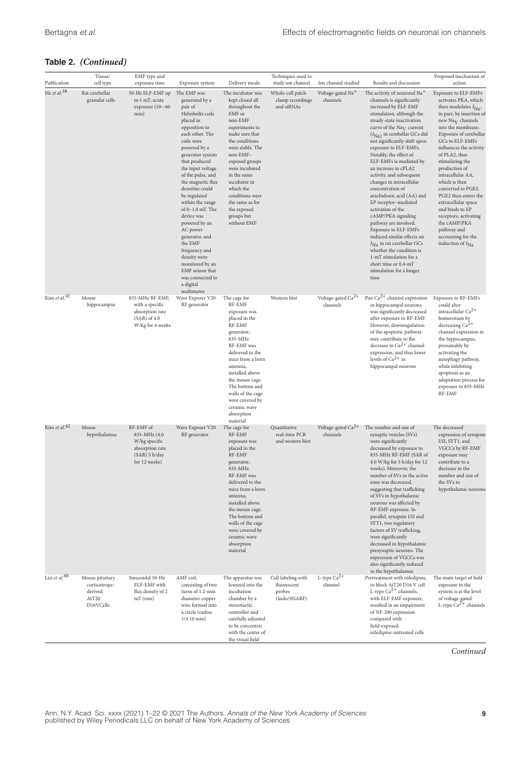| Publication               | Tissue/                                                           | EMF type and                                                                                    |                                                                                                                                                                                                                                                                                                                                                                                                                                                                                                                                            |                                                                                                                                                                                                                                                                                                                                                      | Techniques used to                                                      | Ion channel studied                        | Results and discussion                                                                                                                                                                                                                                                                                                                                                                                                                                                                                                                                                                                                                                                                                                                                                                                        | Proposed mechanism of<br>action                                                                                                                                                                                                                                                                                                                                                                                                                                                                                                                           |
|---------------------------|-------------------------------------------------------------------|-------------------------------------------------------------------------------------------------|--------------------------------------------------------------------------------------------------------------------------------------------------------------------------------------------------------------------------------------------------------------------------------------------------------------------------------------------------------------------------------------------------------------------------------------------------------------------------------------------------------------------------------------------|------------------------------------------------------------------------------------------------------------------------------------------------------------------------------------------------------------------------------------------------------------------------------------------------------------------------------------------------------|-------------------------------------------------------------------------|--------------------------------------------|---------------------------------------------------------------------------------------------------------------------------------------------------------------------------------------------------------------------------------------------------------------------------------------------------------------------------------------------------------------------------------------------------------------------------------------------------------------------------------------------------------------------------------------------------------------------------------------------------------------------------------------------------------------------------------------------------------------------------------------------------------------------------------------------------------------|-----------------------------------------------------------------------------------------------------------------------------------------------------------------------------------------------------------------------------------------------------------------------------------------------------------------------------------------------------------------------------------------------------------------------------------------------------------------------------------------------------------------------------------------------------------|
| He et al. <sup>38</sup>   | cell type<br>Rat cerebellar<br>granular cells                     | exposure time<br>50-Hz ELF-EMF up<br>to 1 mT; acute<br>exposure (10-60<br>min)                  | Exposure system<br>The EMF was<br>generated by a<br>pair of<br>Helmholtz coils<br>placed in<br>opposition to<br>each other. The<br>coils were<br>powered by a<br>generator system<br>that produced<br>the input voltage<br>of the pulse, and<br>the magnetic flux<br>densities could<br>be regulated<br>within the range<br>of 0-1.0 mT. The<br>device was<br>powered by an<br>AC power<br>generator, and<br>the EMF<br>frequency and<br>density were<br>monitored by an<br>EMF sensor that<br>was connected to<br>a digital<br>multimeter | Delivery mode<br>The incubator was<br>kept closed all<br>throughout the<br>EMF or<br>non-EMF<br>experiments to<br>make sure that<br>the conditions<br>were stable. The<br>non-EMF-<br>exposed groups<br>were incubated<br>in the same<br>incubator in<br>which the<br>conditions were<br>the same as for<br>the exposed<br>groups but<br>without EMF | study ion channel<br>Whole-cell patch<br>clamp recordings<br>and siRNAs | Voltage-gated Na <sup>+</sup><br>channels  | The activity of neuronal Na <sup>+</sup><br>channels is significantly<br>increased by ELF-EMF<br>stimulation, although the<br>steady-state inactivation<br>curve of the $\text{Na}_{\text{V}}$ current<br>$(I_{\hbox{Na}})$ in cerebellar GCs did<br>not significantly shift upon<br>exposure to ELF-EMFs.<br>Notably, the effect of<br>ELF-EMFs is mediated by<br>an increase in cPLA2<br>activity, and subsequent<br>changes in intracellular<br>concentration of<br>arachidonic acid (AA) and<br>EP receptor-mediated<br>activation of the<br>cAMP/PKA signaling<br>pathway are involved.<br>Exposure to ELF-EMFs<br>induced similar effects on<br>$I_{\text{Na}}$ in rat cerebellar GCs<br>whether the condition is<br>1-mT stimulation for a<br>short time or 0.4-mT<br>stimulation for a longer<br>time | <b>Exposure to ELF-EMFs</b><br>activates PKA, which<br>then modulates $I_{\text{Na}}$ ,<br>in part, by insertion of<br>new $\text{Na}_{\text{V}}$ channels<br>into the membrane.<br>Exposure of cerebellar<br>GCs to ELF-EMFs<br>influences the activity<br>of PLA2, thus<br>stimulating the<br>production of<br>intracellular AA,<br>which is then<br>converted to PGE2.<br>PGE2 then enters the<br>extracellular space<br>and binds to EP<br>receptors, activating<br>the cAMP/PKA<br>pathway and<br>accounting for the<br>induction of $I_{\text{Na}}$ |
| Kim et al. <sup>41</sup>  | Mouse<br>hippocampus                                              | 835-MHz RF-EMF,<br>with a specific<br>absorption rate<br>$(SAR)$ of 4.0<br>W/kg for 4 weeks     | Wave Exposer V20<br>RF generator                                                                                                                                                                                                                                                                                                                                                                                                                                                                                                           | The cage for<br>RF-EMF<br>exposure was<br>placed in the<br>RF-EMF<br>generator;<br>835-MHz<br>RF-EMF was<br>delivered to the<br>mice from a horn<br>antenna.<br>installed above<br>the mouse cage.<br>The bottom and<br>walls of the cage<br>were covered by<br>ceramic wave<br>absorption                                                           | Western blot                                                            | Voltage-gated $Ca^{2+}$<br>channels        | Pan $Ca^{2+}$ channel expression<br>in hippocampal neurons<br>was significantly decreased<br>after exposure to RF-EMF.<br>However, downregulation<br>of the apoptotic pathway<br>may contribute to the<br>decrease in $Ca^{2+}$ channel<br>expression, and thus lower<br>levels of $Ca^{2+}$ in<br>hippocampal neurons                                                                                                                                                                                                                                                                                                                                                                                                                                                                                        | <b>Exposure to RF-EMFs</b><br>could alter<br>intracellular Ca <sup>2+</sup><br>homeostasis by<br>decreasing $Ca2+$<br>channel expression in<br>the hippocampus,<br>presumably by<br>activating the<br>autophagy pathway,<br>while inhibiting<br>apoptosis as an<br>adaptation process for<br>exposure to 835-MHz<br>RF-EMF                                                                                                                                                                                                                                |
| Kim et al. <sup>42</sup>  | Mouse<br>hypothalamus                                             | RF-EMF of<br>835-MHz (4.0<br>W/kg specific<br>absorption rate<br>(SAR) 5 h/day<br>for 12 weeks) | Wave Exposer V20<br>RF generator                                                                                                                                                                                                                                                                                                                                                                                                                                                                                                           | material<br>The cage for<br>RF-EMF<br>exposure was<br>placed in the<br>RF-EMF<br>generator;<br>835-MHz<br>RF-EMF was<br>delivered to the<br>mice from a horn<br>antenna.<br>installed above<br>the mouse cage.<br>The bottom and<br>walls of the cage<br>were covered by<br>ceramic wave<br>absorption<br>material                                   | Quantitative<br>real-time PCR<br>and western blot                       | Voltage-gated Ca <sup>2+</sup><br>channels | The number and size of<br>synaptic vesicles (SVs)<br>were significantly<br>decreased by exposure to<br>835-MHz RF-EMF (SAR of<br>4.0 W/kg for 5 h/day for 12<br>weeks). Moreover, the<br>number of SVs in the active<br>zone was decreased,<br>suggesting that trafficking<br>of SVs in hypothalamic<br>neurons was affected by<br>RF-EMF exposure. In<br>parallel, synapsin I/II and<br>SYT1, two regulatory<br>factors of SV trafficking,<br>were significantly<br>decreased in hypothalamic<br>presynaptic neurons. The<br>expression of VGCCs was<br>also significantly reduced<br>in the hypothalamus                                                                                                                                                                                                    | The decreased<br>expression of synapsin<br>I/II, SYT1, and<br>VGCCs by RF-EMF<br>exposure may<br>contribute to a<br>decrease in the<br>number and size of<br>the SVs in<br>hypothalamic neurons                                                                                                                                                                                                                                                                                                                                                           |
| Lisi et al. <sup>88</sup> | Mouse pituitary<br>corticotrope-<br>derived<br>AtT20<br>D16VCells | Sinusoidal 50-Hz<br>ELF-EMF with<br>flux density of 2<br>$mT$ (rms)                             | AMF coil,<br>consisting of two<br>turns of 1.2-mm<br>diameter copper<br>wire formed into<br>a circle (radius<br>$1/410$ mm)                                                                                                                                                                                                                                                                                                                                                                                                                | The apparatus was<br>lowered into the<br>incubation<br>chamber by a<br>stereotactic<br>controller and<br>carefully adjusted<br>to be concentric<br>with the center of<br>the visual field                                                                                                                                                            | Cell labeling with<br>fluorescent<br>probes<br>(Indo/SNARF)             | L-type $Ca^{2+}$<br>channel                | Pretreatment with nifedipine,<br>to block AtT20 D16 V cell<br>L-type $Ca^{2+}$ channels,<br>with ELF-EMF exposure,<br>resulted in an impairment<br>of NF-200 expression<br>compared with<br>field-exposed,<br>nifedipine-untreated cells                                                                                                                                                                                                                                                                                                                                                                                                                                                                                                                                                                      | The main target of field<br>exposure in the<br>system is at the level<br>of voltage-gated<br>L-type $Ca^{2+}$ channels                                                                                                                                                                                                                                                                                                                                                                                                                                    |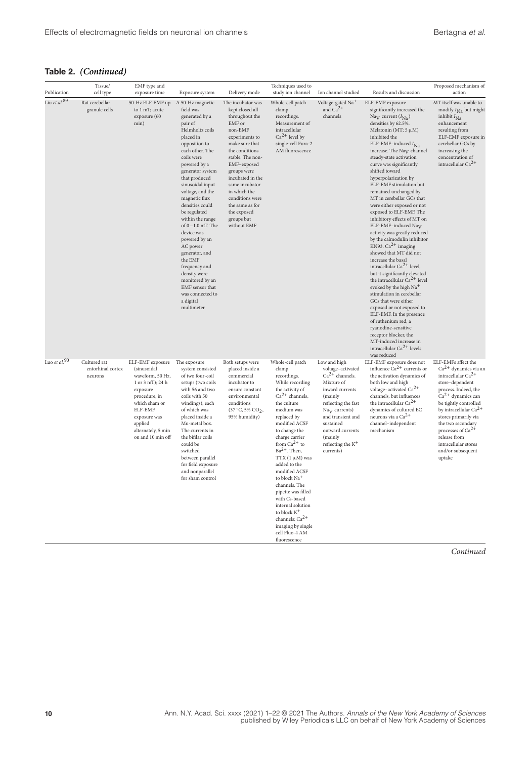|                          | Tissue/                                      | EMF type and                                                                                                                                                                                           |                                                                                                                                                                                                                                                                                                                                                                                                                                                                                                                                       |                                                                                                                                                                                                                                                                                                                             | Techniques used to                                                                                                                                                                                                                                                                                                                                                                                                                                                                                                  |                                                                                                                                                                                                                                                                      |                                                                                                                                                                                                                                                                                                                                                                                                                                                                                                                                                                                                                                                                                                                                                                                                                                                                                                                                                                                                                                                                                                               | Proposed mechanism of                                                                                                                                                                                                                                                                                                                                  |
|--------------------------|----------------------------------------------|--------------------------------------------------------------------------------------------------------------------------------------------------------------------------------------------------------|---------------------------------------------------------------------------------------------------------------------------------------------------------------------------------------------------------------------------------------------------------------------------------------------------------------------------------------------------------------------------------------------------------------------------------------------------------------------------------------------------------------------------------------|-----------------------------------------------------------------------------------------------------------------------------------------------------------------------------------------------------------------------------------------------------------------------------------------------------------------------------|---------------------------------------------------------------------------------------------------------------------------------------------------------------------------------------------------------------------------------------------------------------------------------------------------------------------------------------------------------------------------------------------------------------------------------------------------------------------------------------------------------------------|----------------------------------------------------------------------------------------------------------------------------------------------------------------------------------------------------------------------------------------------------------------------|---------------------------------------------------------------------------------------------------------------------------------------------------------------------------------------------------------------------------------------------------------------------------------------------------------------------------------------------------------------------------------------------------------------------------------------------------------------------------------------------------------------------------------------------------------------------------------------------------------------------------------------------------------------------------------------------------------------------------------------------------------------------------------------------------------------------------------------------------------------------------------------------------------------------------------------------------------------------------------------------------------------------------------------------------------------------------------------------------------------|--------------------------------------------------------------------------------------------------------------------------------------------------------------------------------------------------------------------------------------------------------------------------------------------------------------------------------------------------------|
| Publication              | cell type                                    | exposure time                                                                                                                                                                                          | Exposure system                                                                                                                                                                                                                                                                                                                                                                                                                                                                                                                       | Delivery mode                                                                                                                                                                                                                                                                                                               | study ion channel                                                                                                                                                                                                                                                                                                                                                                                                                                                                                                   | Ion channel studied                                                                                                                                                                                                                                                  | Results and discussion                                                                                                                                                                                                                                                                                                                                                                                                                                                                                                                                                                                                                                                                                                                                                                                                                                                                                                                                                                                                                                                                                        | action                                                                                                                                                                                                                                                                                                                                                 |
| Liu et al. <sup>89</sup> | Rat cerebellar<br>granule cells              | 50-Hz ELF-EMF up<br>to 1 mT; acute<br>exposure (60<br>min)                                                                                                                                             | A 50-Hz magnetic<br>field was<br>generated by a<br>pair of<br>Helmholtz coils<br>placed in<br>opposition to<br>each other. The<br>coils were<br>powered by a<br>generator system<br>that produced<br>sinusoidal input<br>voltage, and the<br>magnetic flux<br>densities could<br>be regulated<br>within the range<br>of $0-1.0$ mT. The<br>device was<br>powered by an<br>AC power<br>generator, and<br>the EMF<br>frequency and<br>density were<br>monitored by an<br>EMF sensor that<br>was connected to<br>a digital<br>multimeter | The incubator was<br>kept closed all<br>throughout the<br>EMF or<br>non-EMF<br>experiments to<br>make sure that<br>the conditions<br>stable. The non-<br>EMF-exposed<br>groups were<br>incubated in the<br>same incubator<br>in which the<br>conditions were<br>the same as for<br>the exposed<br>groups but<br>without EMF | Whole-cell patch<br>clamp<br>recordings.<br>Measurement of<br>intracellular<br>$Ca2+$ level by<br>single-cell Fura-2<br>AM fluorescence                                                                                                                                                                                                                                                                                                                                                                             | Voltage-gated Na <sup>+</sup><br>and $Ca^{2+}$<br>channels                                                                                                                                                                                                           | ELF-EMF exposure<br>significantly increased the<br>Na <sub>V</sub> current $(I_{\text{Na}})$<br>densities by 62.5%.<br>Melatonin (MT; $5 \mu M$ )<br>inhibited the<br>ELF-EMF-induced $I_{\text{Na}}$<br>increase. The Na <sub>V</sub> channel<br>steady-state activation<br>curve was significantly<br>shifted toward<br>hyperpolarization by<br>ELF-EMF stimulation but<br>remained unchanged by<br>MT in cerebellar GCs that<br>were either exposed or not<br>exposed to ELF-EMF. The<br>inhibitory effects of MT on<br>ELF-EMF-induced Na $_{\rm V}$<br>activity was greatly reduced<br>by the calmodulin inhibitor<br>KN93. $Ca^{2+}$ imaging<br>showed that MT did not<br>increase the basal<br>intracellular $Ca^{2+}$ level,<br>but it significantly elevated<br>the intracellular $Ca^{2+}$ level<br>evoked by the high Na <sup>+</sup><br>stimulation in cerebellar<br>GCs that were either<br>exposed or not exposed to<br>ELF-EMF. In the presence<br>of ruthenium red, a<br>ryanodine-sensitive<br>receptor blocker, the<br>MT-induced increase in<br>intracellular $Ca2+$ levels<br>was reduced | MT itself was unable to<br>modify $I_{\text{Na}}$ but might<br>inhibit $I_{\text{Na}}$<br>enhancement<br>resulting from<br>ELF-EMF exposure in<br>cerebellar GCs by<br>increasing the<br>concentration of<br>intracellular $Ca^{2+}$                                                                                                                   |
| Luo et al. $90$          | Cultured rat<br>entorhinal cortex<br>neurons | ELF-EMF exposure<br>(sinusoidal<br>waveform, 50 Hz,<br>1 or 3 mT); 24 h<br>exposure<br>procedure, in<br>which sham or<br>ELF-EMF<br>exposure was<br>applied<br>alternately, 5 min<br>on and 10 min off | The exposure<br>system consisted<br>of two four-coil<br>setups (two coils<br>with 56 and two<br>coils with 50<br>windings), each<br>of which was<br>placed inside a<br>Mu-metal box.<br>The currents in<br>the bifilar coils<br>could be<br>switched<br>between parallel<br>for field exposure<br>and nonparallel<br>for sham control                                                                                                                                                                                                 | Both setups were<br>placed inside a<br>commercial<br>incubator to<br>ensure constant<br>environmental<br>conditions<br>(37 °C, 5% CO <sub>2</sub> ,<br>95% humidity)                                                                                                                                                        | Whole-cell patch<br>clamp<br>recordings.<br>While recording<br>the activity of<br>$Ca2+ channels,$<br>the culture<br>medium was<br>replaced by<br>modified ACSF<br>to change the<br>charge carrier<br>from $Ca^{2+}$ to<br>$Ba2+$ . Then,<br>TTX $(1 \mu M)$ was<br>added to the<br>modified ACSF<br>to block Na <sup>+</sup><br>channels. The<br>pipette was filled<br>with Cs-based<br>internal solution<br>to block K <sup>+</sup><br>channels; $Ca^{2+}$<br>imaging by single<br>cell Fluo-4 AM<br>fluorescence | Low and high<br>voltage-activated<br>$Ca2+ channels.$<br>Mixture of<br>inward currents<br>(mainly<br>reflecting the fast<br>Na <sub>V</sub> currents)<br>and transient and<br>sustained<br>outward currents<br>(mainly<br>reflecting the K <sup>+</sup><br>currents) | ELF-EMF exposure does not<br>influence $Ca^{2+}$ currents or<br>the activation dynamics of<br>both low and high<br>voltage-activated Ca <sup>2+</sup><br>channels, but influences<br>the intracellular $Ca^{2+}$<br>dynamics of cultured EC<br>neurons via a Ca <sup>2+</sup><br>channel-independent<br>mechanism                                                                                                                                                                                                                                                                                                                                                                                                                                                                                                                                                                                                                                                                                                                                                                                             | ELF-EMFs affect the<br>$Ca2+$ dynamics via an<br>intracellular $Ca^{2+}$<br>store-dependent<br>process. Indeed, the<br>$Ca2+$ dynamics can<br>be tightly controlled<br>by intracellular Ca <sup>2+</sup><br>stores primarily via<br>the two secondary<br>processes of $Ca^{2+}$<br>release from<br>intracellular stores<br>and/or subsequent<br>uptake |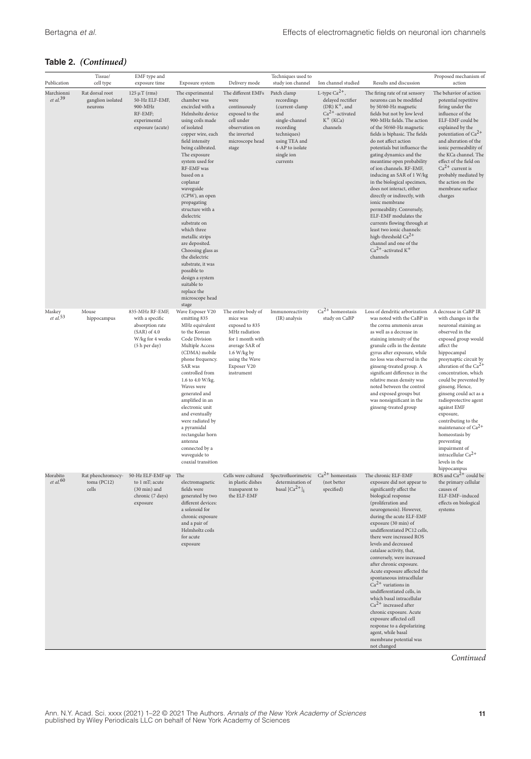| Publication                          | Tissue/<br>cell type                            | EMF type and<br>exposure time                                                                                | Exposure system                                                                                                                                                                                                                                                                                                                                                                                                                                                                                                                                       | Delivery mode                                                                                                                                                         | Techniques used to<br>study ion channel                                                                                                                        | Ion channel studied                                                                                        | Results and discussion                                                                                                                                                                                                                                                                                                                                                                                                                                                                                                                                                                                                                                                                                                         | Proposed mechanism of<br>action                                                                                                                                                                                                                                                                                                                                                                                                                                                                                   |
|--------------------------------------|-------------------------------------------------|--------------------------------------------------------------------------------------------------------------|-------------------------------------------------------------------------------------------------------------------------------------------------------------------------------------------------------------------------------------------------------------------------------------------------------------------------------------------------------------------------------------------------------------------------------------------------------------------------------------------------------------------------------------------------------|-----------------------------------------------------------------------------------------------------------------------------------------------------------------------|----------------------------------------------------------------------------------------------------------------------------------------------------------------|------------------------------------------------------------------------------------------------------------|--------------------------------------------------------------------------------------------------------------------------------------------------------------------------------------------------------------------------------------------------------------------------------------------------------------------------------------------------------------------------------------------------------------------------------------------------------------------------------------------------------------------------------------------------------------------------------------------------------------------------------------------------------------------------------------------------------------------------------|-------------------------------------------------------------------------------------------------------------------------------------------------------------------------------------------------------------------------------------------------------------------------------------------------------------------------------------------------------------------------------------------------------------------------------------------------------------------------------------------------------------------|
| Marchionni<br>$et$ al. <sup>39</sup> | Rat dorsal root<br>ganglion isolated<br>neurons | $125 \mu T$ (rms)<br>50-Hz ELF-EMF,<br>900-MHz<br>RF-EMF;<br>experimental<br>exposure (acute)                | The experimental<br>chamber was<br>encircled with a<br>Helmholtz device<br>using coils made<br>of isolated<br>copper wire, each<br>field intensity<br>being calibrated.<br>The exposure<br>system used for<br>RF-EMF was<br>based on a<br>coplanar<br>waveguide<br>(CPW), an open<br>propagating<br>structure with a<br>dielectric<br>substrate on<br>which three<br>metallic strips<br>are deposited.<br>Choosing glass as<br>the dielectric<br>substrate, it was<br>possible to<br>design a system<br>suitable to<br>replace the<br>microscope head | The different EMFs<br>were<br>continuously<br>exposed to the<br>cell under<br>observation on<br>the inverted<br>microscope head<br>stage                              | Patch clamp<br>recordings<br>(current-clamp<br>and<br>single-channel<br>recording<br>techniques)<br>using TEA and<br>4-AP to isolate<br>single ion<br>currents | L-type $Ca^{2+}$ ,<br>delayed rectifier<br>$(DR) K+$ , and<br>$Ca2+$ -activated<br>$K^+$ (KCa)<br>channels | The firing rate of rat sensory<br>neurons can be modified<br>by 50/60-Hz magnetic<br>fields but not by low level<br>900-MHz fields. The action<br>of the 50/60-Hz magnetic<br>fields is biphasic. The fields<br>do not affect action<br>potentials but influence the<br>gating dynamics and the<br>meantime open probability<br>of ion channels. RF-EMF,<br>inducing an SAR of 1 W/kg<br>in the biological specimen,<br>does not interact, either<br>directly or indirectly, with<br>ionic membrane<br>permeability. Conversely,<br>ELF-EMF modulates the<br>currents flowing through at<br>least two ionic channels:<br>high-threshold $Ca^{2+}$<br>channel and one of the<br>$Ca^{2+}$ -activated K <sup>+</sup><br>channels | The behavior of action<br>potential repetitive<br>firing under the<br>influence of the<br>ELF-EMF could be<br>explained by the<br>potentiation of $\mathrm{Ca}^{2+}$<br>and alteration of the<br>ionic permeability of<br>the KCa channel. The<br>effect of the field on<br>$Ca2+ current is$<br>probably mediated by<br>the action on the<br>membrane surface<br>charges                                                                                                                                         |
| Maskey<br>$et al.$ <sup>53</sup>     | Mouse<br>hippocampus                            | 835-MHz RF-EMF,<br>with a specific<br>absorption rate<br>$(SAR)$ of 4.0<br>W/kg for 4 weeks<br>(5 h per day) | stage<br>Wave Exposer V20<br>emitting 835<br>MHz equivalent<br>to the Korean<br>Code Division<br>Multiple Access<br>(CDMA) mobile<br>phone frequency.<br>SAR was<br>controlled from<br>1.6 to 4.0 W/kg.<br>Waves were<br>generated and<br>amplified in an<br>electronic unit<br>and eventually<br>were radiated by<br>a pyramidal<br>rectangular horn<br>antenna<br>connected by a<br>waveguide to<br>coaxial transition                                                                                                                              | The entire body of<br>mice was<br>exposed to 835<br>MHz radiation<br>for 1 month with<br>average SAR of<br>1.6 W/kg by<br>using the Wave<br>Exposer V20<br>instrument | Immunoreactivity<br>(IR) analysis                                                                                                                              | $Ca2+ homeostasis$<br>study on CaBP                                                                        | Loss of dendritic arborization<br>was noted with the CaBP in<br>the cornu ammonis areas<br>as well as a decrease in<br>staining intensity of the<br>granule cells in the dentate<br>gyrus after exposure, while<br>no loss was observed in the<br>ginseng-treated group. A<br>significant difference in the<br>relative mean density was<br>noted between the control<br>and exposed groups but<br>was nonsignificant in the<br>ginseng-treated group                                                                                                                                                                                                                                                                          | A decrease in CaBP IR<br>with changes in the<br>neuronal staining as<br>observed in the<br>exposed group would<br>affect the<br>hippocampal<br>presynaptic circuit by<br>alteration of the Ca <sup>2</sup><br>concentration, which<br>could be prevented by<br>ginseng. Hence,<br>ginseng could act as a<br>radioprotective agent<br>against EMF<br>exposure,<br>contributing to the<br>maintenance of $Ca2+$<br>homeostasis by<br>preventing<br>impairment of<br>intracellular Ca <sup>2+</sup><br>levels in the |
| Morabito<br>et al.60                 | Rat pheochromocy-<br>toma (PC12)<br>cells       | 50-Hz ELF-EMF up<br>to 1 mT; acute<br>$(30 \text{ min})$ and<br>chronic (7 days)<br>exposure                 | The<br>electromagnetic<br>fields were<br>generated by two<br>different devices:<br>a solenoid for<br>chronic exposure<br>and a pair of<br>Helmholtz coils<br>for acute<br>exposure                                                                                                                                                                                                                                                                                                                                                                    | Cells were cultured<br>in plastic dishes<br>transparent to<br>the ELF-EMF                                                                                             | Spectrofluorimetric<br>determination of<br>basal $[Ca^{2+}]$                                                                                                   | $Ca2+ homeostasis$<br>(not better<br>specified)                                                            | The chronic ELF-EMF<br>exposure did not appear to<br>significantly affect the<br>biological response<br>(proliferation and<br>neurogenesis). However,<br>during the acute ELF-EMF<br>exposure (30 min) of<br>undifferentiated PC12 cells.<br>there were increased ROS<br>levels and decreased<br>catalase activity, that,<br>conversely, were increased<br>after chronic exposure.<br>Acute exposure affected the<br>spontaneous intracellular<br>$Ca2+$ variations in<br>undifferentiated cells, in<br>which basal intracellular<br>$Ca2+$ increased after<br>chronic exposure. Acute<br>exposure affected cell<br>response to a depolarizing<br>agent, while basal<br>membrane potential was<br>not changed                  | hippocampus<br>ROS and $Ca2+$ could be<br>the primary cellular<br>causes of<br>ELF-EMF-induced<br>effects on biological<br>systems                                                                                                                                                                                                                                                                                                                                                                                |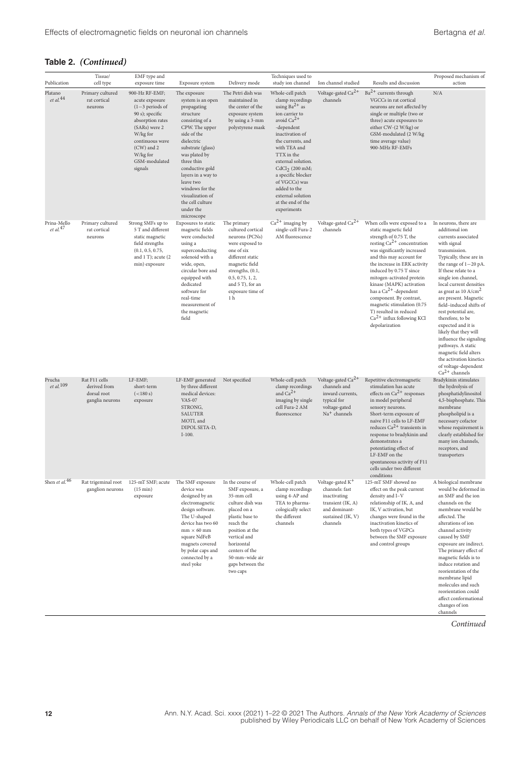|                                 | Tissue/                                                         | EMF type and                                                                                                                                                                                         |                                                                                                                                                                                                                                                                                                                                 |                                                                                                                                                                                                                                           | Techniques used to                                                                                                                                                                                                                                                                                                                                      |                                                                                                                                       |                                                                                                                                                                                                                                                                                                                                                                                                                                                                      | Proposed mechanism of                                                                                                                                                                                                                                                                                                                                                                                                                                                                                                                                            |
|---------------------------------|-----------------------------------------------------------------|------------------------------------------------------------------------------------------------------------------------------------------------------------------------------------------------------|---------------------------------------------------------------------------------------------------------------------------------------------------------------------------------------------------------------------------------------------------------------------------------------------------------------------------------|-------------------------------------------------------------------------------------------------------------------------------------------------------------------------------------------------------------------------------------------|---------------------------------------------------------------------------------------------------------------------------------------------------------------------------------------------------------------------------------------------------------------------------------------------------------------------------------------------------------|---------------------------------------------------------------------------------------------------------------------------------------|----------------------------------------------------------------------------------------------------------------------------------------------------------------------------------------------------------------------------------------------------------------------------------------------------------------------------------------------------------------------------------------------------------------------------------------------------------------------|------------------------------------------------------------------------------------------------------------------------------------------------------------------------------------------------------------------------------------------------------------------------------------------------------------------------------------------------------------------------------------------------------------------------------------------------------------------------------------------------------------------------------------------------------------------|
| Publication                     | cell type                                                       | exposure time                                                                                                                                                                                        | Exposure system                                                                                                                                                                                                                                                                                                                 | Delivery mode                                                                                                                                                                                                                             | study ion channel                                                                                                                                                                                                                                                                                                                                       | Ion channel studied                                                                                                                   | Results and discussion                                                                                                                                                                                                                                                                                                                                                                                                                                               | action                                                                                                                                                                                                                                                                                                                                                                                                                                                                                                                                                           |
| Platano<br>et al. $^{44}$       | Primary cultured<br>rat cortical<br>neurons                     | 900-Hz RF-EMF;<br>acute exposure<br>$(1-3$ periods of<br>90 s); specific<br>absorption rates<br>(SARs) were 2<br>W/kg for<br>continuous wave<br>$(CW)$ and 2<br>W/kg for<br>GSM-modulated<br>signals | The exposure<br>system is an open<br>propagating<br>structure<br>consisting of a<br>CPW. The upper<br>side of the<br>dielectric<br>substrate (glass)<br>was plated by<br>three thin<br>conductive gold<br>layers in a way to<br>leave two<br>windows for the<br>visualization of<br>the cell culture<br>under the<br>microscope | The Petri dish was<br>maintained in<br>the center of the<br>exposure system<br>by using a 3-mm<br>polystyrene mask                                                                                                                        | Whole-cell patch<br>clamp recordings<br>using $Ba^{2+}$ as<br>ion carrier to<br>avoid $Ca^{2+}$<br>-dependent<br>inactivation of<br>the currents, and<br>with TEA and<br>TTX in the<br>external solution.<br>CdCl <sub>2</sub> (200 mM;<br>a specific blocker<br>of VGCCs) was<br>added to the<br>external solution<br>at the end of the<br>experiments | Voltage-gated Ca <sup>2+</sup><br>channels                                                                                            | $Ba2+$ currents through<br>VGCCs in rat cortical<br>neurons are not affected by<br>single or multiple (two or<br>three) acute exposures to<br>either CW-(2 W/kg) or<br>GSM-modulated (2 W/kg<br>time average value)<br>900-MHz RF-EMFs                                                                                                                                                                                                                               | N/A                                                                                                                                                                                                                                                                                                                                                                                                                                                                                                                                                              |
| Prina-Mello<br>et al. $47$      | Primary cultured<br>rat cortical<br>neurons                     | Strong SMFs up to<br>5 T and different<br>static magnetic<br>field strengths<br>(0.1, 0.5, 0.75,<br>and 1 T); acute (2<br>min) exposure                                                              | Exposures to static<br>magnetic fields<br>were conducted<br>using a<br>superconducting<br>solenoid with a<br>wide, open,<br>circular bore and<br>equipped with<br>dedicated<br>software for<br>real-time<br>measurement of<br>the magnetic<br>field                                                                             | The primary<br>cultured cortical<br>neurons (PCNs)<br>were exposed to<br>one of six<br>different static<br>magnetic field<br>strengths, (0.1,<br>0.5, 0.75, 1, 2,<br>and 5 T), for an<br>exposure time of<br>1 <sub>h</sub>               | $Ca2+$ imaging by<br>single-cell Fura-2<br>AM fluorescence                                                                                                                                                                                                                                                                                              | Voltage-gated Ca <sup>2+</sup><br>channels                                                                                            | When cells were exposed to a<br>static magnetic field<br>strength of 0.75 T, the<br>resting $Ca^{2+}$ concentration<br>was significantly increased<br>and this may account for<br>the increase in ERK activity<br>induced by 0.75 T since<br>mitogen-activated protein<br>kinase (MAPK) activation<br>has a $Ca^{2+}$ -dependent<br>component. By contrast,<br>magnetic stimulation (0.75<br>T) resulted in reduced<br>$Ca2+$ influx following KCl<br>depolarization | In neurons, there are<br>additional ion<br>currents associated<br>with signal<br>transmission.<br>Typically, these are in<br>the range of $1-20$ pA.<br>If these relate to a<br>single ion channel,<br>local current densities<br>as great as 10 A/cm <sup>2</sup><br>are present. Magnetic<br>field-induced shifts of<br>rest potential are,<br>therefore, to be<br>expected and it is<br>likely that they will<br>influence the signaling<br>pathways. A static<br>magnetic field alters<br>the activation kinetics<br>of voltage-dependent<br>$Ca2+ channels$ |
| Prucha<br>et al. <sup>109</sup> | Rat F11 cells<br>derived from<br>dorsal root<br>ganglia neurons | LF-EMF;<br>short-term<br>(<180 s)<br>exposure                                                                                                                                                        | LF-EMF generated<br>by three different<br>medical devices:<br><b>VAS-07</b><br>STRONG,<br>SALUTER<br>MOTI, and<br>DIPOL SETA-D,<br>$I-100.$                                                                                                                                                                                     | Not specified                                                                                                                                                                                                                             | Whole-cell patch<br>clamp recordings<br>and $Ca^{2+}$<br>imaging by single<br>cell Fura-2 AM<br>fluorescence                                                                                                                                                                                                                                            | Voltage-gated $Ca2+$<br>channels and<br>inward currents,<br>typical for<br>voltage-gated<br>$\mathrm{Na}^+$ channels                  | Repetitive electromagnetic<br>stimulation has acute<br>effects on $Ca^{2+}$ responses<br>in model peripheral<br>sensory neurons.<br>Short-term exposure of<br>naive F11 cells to LF-EMF<br>reduces $Ca^{2+}$ transients in<br>response to bradykinin and<br>demonstrates a<br>potentiating effect of<br>LF-EMF on the<br>spontaneous activity of F11<br>cells under two different<br>conditions                                                                      | <b>Bradykinin stimulates</b><br>the hydrolysis of<br>phosphatidylinositol<br>4,5-bisphosphate. This<br>membrane<br>phospholipid is a<br>necessary cofactor<br>whose requirement is<br>clearly established for<br>many ion channels,<br>receptors, and<br>transporters                                                                                                                                                                                                                                                                                            |
| Shen et al. <sup>46</sup>       | Rat trigeminal root<br>ganglion neurons                         | 125-mT SMF; acute<br>(15 min)<br>exposure                                                                                                                                                            | The SMF exposure<br>device was<br>designed by an<br>electromagnetic<br>design software.<br>The U-shaped<br>device has two 60<br>$\text{mm} \times 60 \text{ mm}$<br>square NdFeB<br>magnets covered<br>by polar caps and<br>connected by a<br>steel yoke                                                                        | In the course of<br>SMF exposure, a<br>35-mm cell<br>culture dish was<br>placed on a<br>plastic base to<br>reach the<br>position at the<br>vertical and<br>horizontal<br>centers of the<br>50-mm-wide air<br>gaps between the<br>two caps | Whole-cell patch<br>clamp recordings<br>using 4-AP and<br>TEA to pharma-<br>cologically select<br>the different<br>${\tt channels}$                                                                                                                                                                                                                     | Voltage-gated K <sup>+</sup><br>channels: fast<br>inactivating<br>transient (IK, A)<br>and dominant-<br>sustained (IK, V)<br>channels | 125-mT SMF showed no<br>effect on the peak current<br>density and I-V<br>relationship of IK, A, and<br>IK, V activation, but<br>changes were found in the<br>inactivation kinetics of<br>both types of VGPCs<br>between the SMF exposure<br>and control groups                                                                                                                                                                                                       | A biological membrane<br>would be deformed in<br>an SMF and the ion<br>channels on the<br>membrane would be<br>affected. The<br>alterations of ion<br>channel activity<br>caused by SMF<br>exposure are indirect.<br>The primary effect of<br>magnetic fields is to<br>induce rotation and<br>reorientation of the<br>membrane lipid<br>molecules and such<br>reorientation could<br>affect conformational<br>changes of ion<br>channels                                                                                                                         |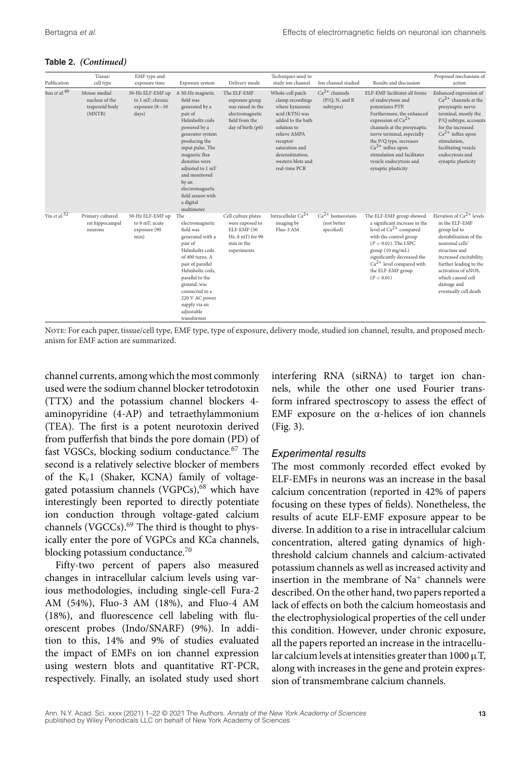| Publication              | Tissue/<br>cell type                                       | EMF type and<br>exposure time                                      | Exposure system                                                                                                                                                                                                                                                                                            | Delivery mode                                                                                                | Techniques used to<br>study ion channel                                                                                                                                                                               | Ion channel studied                             | Results and discussion                                                                                                                                                                                                                                                                                                         | Proposed mechanism of<br>action                                                                                                                                                                                                                                       |
|--------------------------|------------------------------------------------------------|--------------------------------------------------------------------|------------------------------------------------------------------------------------------------------------------------------------------------------------------------------------------------------------------------------------------------------------------------------------------------------------|--------------------------------------------------------------------------------------------------------------|-----------------------------------------------------------------------------------------------------------------------------------------------------------------------------------------------------------------------|-------------------------------------------------|--------------------------------------------------------------------------------------------------------------------------------------------------------------------------------------------------------------------------------------------------------------------------------------------------------------------------------|-----------------------------------------------------------------------------------------------------------------------------------------------------------------------------------------------------------------------------------------------------------------------|
| Sun et al. <sup>40</sup> | Mouse medial<br>nucleus of the<br>trapezoid body<br>(MNTB) | 50-Hz ELF-EMF up<br>to 1 mT: chronic<br>exposure $(8-10)$<br>days) | A 50-Hz magnetic<br>field was<br>generated by a<br>pair of<br>Helmholtz coils<br>powered by a<br>generator system<br>producing the<br>input pulse. The<br>magnetic flux<br>densities were<br>adjusted to 1 mT<br>and monitored<br>by an<br>electromagnetic<br>field sensor with<br>a digital<br>multimeter | The ELF-EMF<br>exposure group<br>was raised in the<br>electromagnetic<br>field from the<br>day of birth (p0) | Whole-cell patch<br>clamp recordings<br>where kynurenic<br>acid (KYN) was<br>added to the bath<br>solution to<br>relieve AMPA<br>receptor<br>saturation and<br>desensitization:<br>western blots and<br>real-time PCR | $Ca2+ channels$<br>(P/Q, N, and R)<br>subtypes) | ELF-EMF facilitates all forms<br>of endocytosis and<br>potentiates PTP.<br>Furthermore, the enhanced<br>expression of $Ca^{2+}$<br>channels at the presynaptic<br>nerve terminal, especially<br>the P/Q type, increases<br>$Ca2+$ influx upon<br>stimulation and facilitates<br>vesicle endocytosis and<br>synaptic plasticity | Enhanced expression of<br>$Ca2+$ channels at the<br>presynaptic nerve<br>terminal, mostly the<br>P/Q subtype, accounts<br>for the increased<br>$Ca^{2+}$ influx upon<br>stimulation,<br>facilitating vesicle<br>endocytosis and<br>synaptic plasticity                |
| Yin et al. $52$          | Primary cultured<br>rat hippocampal<br>neurons             | 50-Hz ELF-EMF up<br>to 8 mT; acute<br>exposure (90<br>min)         | The<br>electromagnetic<br>field was<br>generated with a<br>pair of<br>Helmholtz coils<br>of 400 turns. A<br>pair of parallel<br>Helmholtz coils.<br>parallel to the<br>ground, was<br>connected to a<br>220 V AC power<br>supply via an<br>adjustable<br>transformer                                       | Cell culture plates<br>were exposed to<br>ELF-EMF (50<br>Hz, 8 mT) for 90<br>min in the<br>experiments       | Intracellular Ca <sup>2+</sup><br>imaging by<br>Fluo-3 AM                                                                                                                                                             | $Ca2+ homeostasis$<br>(not better<br>specified) | The ELF-EMF group showed<br>a significant increase in the<br>level of $Ca^{2+}$ compared<br>with the control group<br>$(P < 0.01)$ . The LSPC<br>group (10 mg/mL)<br>significantly decreased the<br>$Ca2+$ level compared with<br>the ELF-EMF group<br>(P < 0.01)                                                              | Elevation of $Ca^{2+}$ levels<br>in the ELF-EMF<br>group led to<br>destabilization of the<br>neuronal cells'<br>structure and<br>increased excitability,<br>further leading to the<br>activation of nNOS.<br>which caused cell<br>damage and<br>eventually cell death |

Note: For each paper, tissue/cell type, EMF type, type of exposure, delivery mode, studied ion channel, results, and proposed mechanism for EMF action are summarized.

channel currents, among which the most commonly used were the sodium channel blocker tetrodotoxin (TTX) and the potassium channel blockers 4 aminopyridine (4-AP) and tetraethylammonium (TEA). The first is a potent neurotoxin derived from pufferfish that binds the pore domain (PD) of fast VGSCs, blocking sodium conductance.<sup>67</sup> The second is a relatively selective blocker of members of the  $K_v1$  (Shaker, KCNA) family of voltagegated potassium channels (VGPCs),<sup>68</sup> which have interestingly been reported to directly potentiate ion conduction through voltage-gated calcium channels (VGCCs).<sup>69</sup> The third is thought to physically enter the pore of VGPCs and KCa channels, blocking potassium conductance.<sup>70</sup>

Fifty-two percent of papers also measured changes in intracellular calcium levels using various methodologies, including single-cell Fura-2 AM (54%), Fluo-3 AM (18%), and Fluo-4 AM (18%), and fluorescence cell labeling with fluorescent probes (Indo/SNARF) (9%). In addition to this, 14% and 9% of studies evaluated the impact of EMFs on ion channel expression using western blots and quantitative RT-PCR, respectively. Finally, an isolated study used short interfering RNA (siRNA) to target ion channels, while the other one used Fourier transform infrared spectroscopy to assess the effect of EMF exposure on the  $\alpha$ -helices of ion channels (Fig. 3).

#### *Experimental results*

The most commonly recorded effect evoked by ELF-EMFs in neurons was an increase in the basal calcium concentration (reported in 42% of papers focusing on these types of fields). Nonetheless, the results of acute ELF-EMF exposure appear to be diverse. In addition to a rise in intracellular calcium concentration, altered gating dynamics of highthreshold calcium channels and calcium-activated potassium channels as well as increased activity and insertion in the membrane of  $Na<sup>+</sup>$  channels were described. On the other hand, two papers reported a lack of effects on both the calcium homeostasis and the electrophysiological properties of the cell under this condition. However, under chronic exposure, all the papers reported an increase in the intracellular calcium levels at intensities greater than  $1000 \mu$ T, along with increases in the gene and protein expression of transmembrane calcium channels.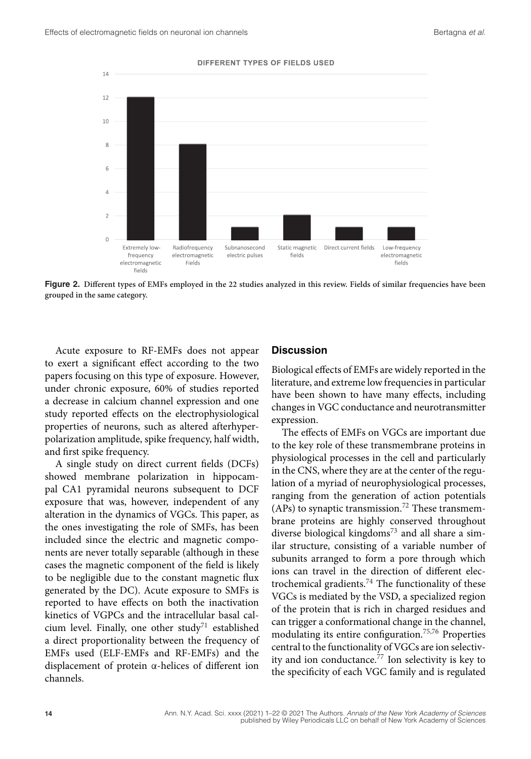

**Figure 2. Different types of EMFs employed in the 22 studies analyzed in this review. Fields of similar frequencies have been grouped in the same category.**

Acute exposure to RF-EMFs does not appear to exert a significant effect according to the two papers focusing on this type of exposure. However, under chronic exposure, 60% of studies reported a decrease in calcium channel expression and one study reported effects on the electrophysiological properties of neurons, such as altered afterhyperpolarization amplitude, spike frequency, half width, and first spike frequency.

A single study on direct current fields (DCFs) showed membrane polarization in hippocampal CA1 pyramidal neurons subsequent to DCF exposure that was, however, independent of any alteration in the dynamics of VGCs. This paper, as the ones investigating the role of SMFs, has been included since the electric and magnetic components are never totally separable (although in these cases the magnetic component of the field is likely to be negligible due to the constant magnetic flux generated by the DC). Acute exposure to SMFs is reported to have effects on both the inactivation kinetics of VGPCs and the intracellular basal calcium level. Finally, one other study<sup>71</sup> established a direct proportionality between the frequency of EMFs used (ELF-EMFs and RF-EMFs) and the displacement of protein α-helices of different ion channels.

#### **Discussion**

Biological effects of EMFs are widely reported in the literature, and extreme low frequencies in particular have been shown to have many effects, including changes in VGC conductance and neurotransmitter expression.

The effects of EMFs on VGCs are important due to the key role of these transmembrane proteins in physiological processes in the cell and particularly in the CNS, where they are at the center of the regulation of a myriad of neurophysiological processes, ranging from the generation of action potentials (APs) to synaptic transmission.<sup>72</sup> These transmembrane proteins are highly conserved throughout diverse biological kingdoms<sup>73</sup> and all share a similar structure, consisting of a variable number of subunits arranged to form a pore through which ions can travel in the direction of different electrochemical gradients.<sup>74</sup> The functionality of these VGCs is mediated by the VSD, a specialized region of the protein that is rich in charged residues and can trigger a conformational change in the channel, modulating its entire configuration.75,76 Properties central to the functionality of VGCs are ion selectivity and ion conductance.<sup>77</sup> Ion selectivity is key to the specificity of each VGC family and is regulated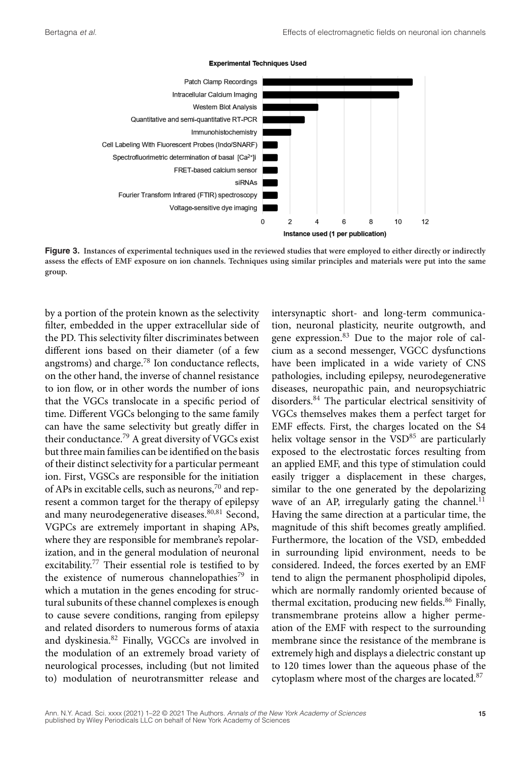

**Experimental Techniques Used** 

**Figure 3. Instances of experimental techniques used in the reviewed studies that were employed to either directly or indirectly assess the effects of EMF exposure on ion channels. Techniques using similar principles and materials were put into the same group.**

by a portion of the protein known as the selectivity filter, embedded in the upper extracellular side of the PD. This selectivity filter discriminates between different ions based on their diameter (of a few angstroms) and charge.78 Ion conductance reflects, on the other hand, the inverse of channel resistance to ion flow, or in other words the number of ions that the VGCs translocate in a specific period of time. Different VGCs belonging to the same family can have the same selectivity but greatly differ in their conductance.<sup>79</sup> A great diversity of VGCs exist but three main families can be identified on the basis of their distinct selectivity for a particular permeant ion. First, VGSCs are responsible for the initiation of APs in excitable cells, such as neurons,<sup>70</sup> and represent a common target for the therapy of epilepsy and many neurodegenerative diseases.<sup>80,81</sup> Second, VGPCs are extremely important in shaping APs, where they are responsible for membrane's repolarization, and in the general modulation of neuronal excitability.77 Their essential role is testified to by the existence of numerous channelopathies<sup>79</sup> in which a mutation in the genes encoding for structural subunits of these channel complexes is enough to cause severe conditions, ranging from epilepsy and related disorders to numerous forms of ataxia and dyskinesia.82 Finally, VGCCs are involved in the modulation of an extremely broad variety of neurological processes, including (but not limited to) modulation of neurotransmitter release and

intersynaptic short- and long-term communication, neuronal plasticity, neurite outgrowth, and gene expression.<sup>83</sup> Due to the major role of calcium as a second messenger, VGCC dysfunctions have been implicated in a wide variety of CNS pathologies, including epilepsy, neurodegenerative diseases, neuropathic pain, and neuropsychiatric disorders.84 The particular electrical sensitivity of VGCs themselves makes them a perfect target for EMF effects. First, the charges located on the S4 helix voltage sensor in the  $VSD<sup>85</sup>$  are particularly exposed to the electrostatic forces resulting from an applied EMF, and this type of stimulation could easily trigger a displacement in these charges, similar to the one generated by the depolarizing wave of an AP, irregularly gating the channel.<sup>11</sup> Having the same direction at a particular time, the magnitude of this shift becomes greatly amplified. Furthermore, the location of the VSD, embedded in surrounding lipid environment, needs to be considered. Indeed, the forces exerted by an EMF tend to align the permanent phospholipid dipoles, which are normally randomly oriented because of thermal excitation, producing new fields.<sup>86</sup> Finally, transmembrane proteins allow a higher permeation of the EMF with respect to the surrounding membrane since the resistance of the membrane is extremely high and displays a dielectric constant up to 120 times lower than the aqueous phase of the cytoplasm where most of the charges are located.<sup>87</sup>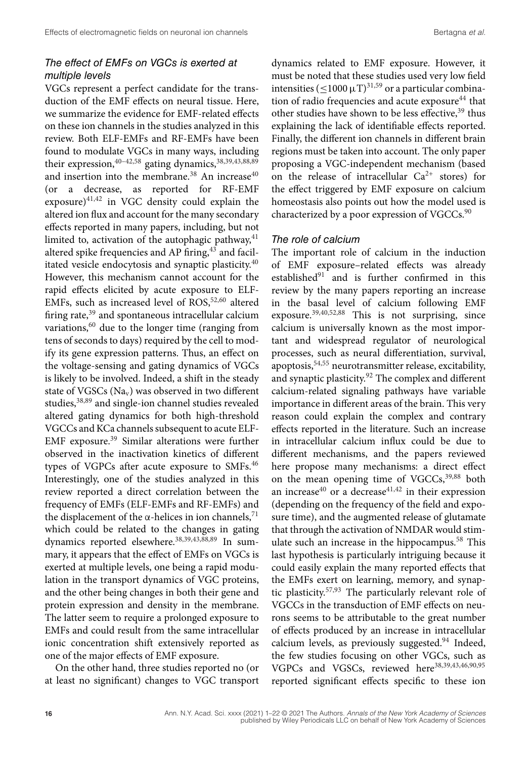## *The effect of EMFs on VGCs is exerted at multiple levels*

VGCs represent a perfect candidate for the transduction of the EMF effects on neural tissue. Here, we summarize the evidence for EMF-related effects on these ion channels in the studies analyzed in this review. Both ELF-EMFs and RF-EMFs have been found to modulate VGCs in many ways, including their expression,  $40-42,58$  gating dynamics,  $38,39,43,88,89$ and insertion into the membrane.<sup>38</sup> An increase<sup>40</sup> (or a decrease, as reported for RF-EMF  $exposure)^{41,42}$  in VGC density could explain the altered ion flux and account for the many secondary effects reported in many papers, including, but not limited to, activation of the autophagic pathway, $41$ altered spike frequencies and AP firing,<sup>43</sup> and facilitated vesicle endocytosis and synaptic plasticity.40 However, this mechanism cannot account for the rapid effects elicited by acute exposure to ELF-EMFs, such as increased level of  $ROS<sub>52,60</sub>$  altered firing rate, $39$  and spontaneous intracellular calcium variations,<sup>60</sup> due to the longer time (ranging from tens of seconds to days) required by the cell to modify its gene expression patterns. Thus, an effect on the voltage-sensing and gating dynamics of VGCs is likely to be involved. Indeed, a shift in the steady state of VGSCs ( $Na<sub>v</sub>$ ) was observed in two different studies,<sup>38,89</sup> and single-ion channel studies revealed altered gating dynamics for both high-threshold VGCCs and KCa channels subsequent to acute ELF-EMF exposure.39 Similar alterations were further observed in the inactivation kinetics of different types of VGPCs after acute exposure to SMFs.<sup>46</sup> Interestingly, one of the studies analyzed in this review reported a direct correlation between the frequency of EMFs (ELF-EMFs and RF-EMFs) and the displacement of the  $\alpha$ -helices in ion channels,<sup>71</sup> which could be related to the changes in gating dynamics reported elsewhere.38,39,43,88,89 In summary, it appears that the effect of EMFs on VGCs is exerted at multiple levels, one being a rapid modulation in the transport dynamics of VGC proteins, and the other being changes in both their gene and protein expression and density in the membrane. The latter seem to require a prolonged exposure to EMFs and could result from the same intracellular ionic concentration shift extensively reported as one of the major effects of EMF exposure.

On the other hand, three studies reported no (or at least no significant) changes to VGC transport dynamics related to EMF exposure. However, it must be noted that these studies used very low field intensities ( $\leq$ 1000  $\mu$ T)<sup>31,59</sup> or a particular combination of radio frequencies and acute exposure<sup>44</sup> that other studies have shown to be less effective,<sup>39</sup> thus explaining the lack of identifiable effects reported. Finally, the different ion channels in different brain regions must be taken into account. The only paper proposing a VGC-independent mechanism (based on the release of intracellular  $Ca^{2+}$  stores) for the effect triggered by EMF exposure on calcium homeostasis also points out how the model used is characterized by a poor expression of VGCCs.<sup>90</sup>

### *The role of calcium*

The important role of calcium in the induction of EMF exposure–related effects was already established $91$  and is further confirmed in this review by the many papers reporting an increase in the basal level of calcium following EMF exposure.39,40,52,88 This is not surprising, since calcium is universally known as the most important and widespread regulator of neurological processes, such as neural differentiation, survival, apoptosis,54,55 neurotransmitter release, excitability, and synaptic plasticity.92 The complex and different calcium-related signaling pathways have variable importance in different areas of the brain. This very reason could explain the complex and contrary effects reported in the literature. Such an increase in intracellular calcium influx could be due to different mechanisms, and the papers reviewed here propose many mechanisms: a direct effect on the mean opening time of  $VGCCs$ ,  $39,88$  both an increase<sup>40</sup> or a decrease<sup>41,42</sup> in their expression (depending on the frequency of the field and exposure time), and the augmented release of glutamate that through the activation of NMDAR would stimulate such an increase in the hippocampus.<sup>58</sup> This last hypothesis is particularly intriguing because it could easily explain the many reported effects that the EMFs exert on learning, memory, and synaptic plasticity.57,93 The particularly relevant role of VGCCs in the transduction of EMF effects on neurons seems to be attributable to the great number of effects produced by an increase in intracellular calcium levels, as previously suggested.<sup>94</sup> Indeed, the few studies focusing on other VGCs, such as VGPCs and VGSCs, reviewed here<sup>38,39,43,46,90,95</sup> reported significant effects specific to these ion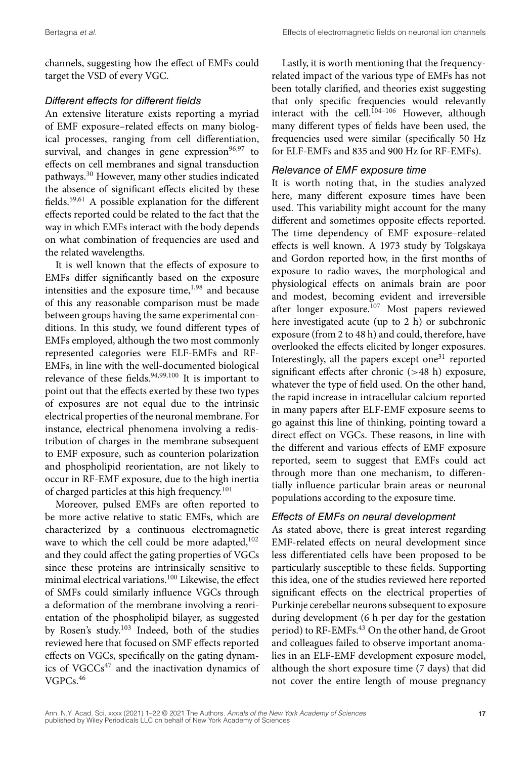channels, suggesting how the effect of EMFs could target the VSD of every VGC.

## *Different effects for different fields*

An extensive literature exists reporting a myriad of EMF exposure–related effects on many biological processes, ranging from cell differentiation, survival, and changes in gene expression $96,97$  to effects on cell membranes and signal transduction pathways.30 However, many other studies indicated the absence of significant effects elicited by these fields.59,61 A possible explanation for the different effects reported could be related to the fact that the way in which EMFs interact with the body depends on what combination of frequencies are used and the related wavelengths.

It is well known that the effects of exposure to EMFs differ significantly based on the exposure intensities and the exposure time, $1,98$  and because of this any reasonable comparison must be made between groups having the same experimental conditions. In this study, we found different types of EMFs employed, although the two most commonly represented categories were ELF-EMFs and RF-EMFs, in line with the well-documented biological relevance of these fields.<sup>94,99,100</sup> It is important to point out that the effects exerted by these two types of exposures are not equal due to the intrinsic electrical properties of the neuronal membrane. For instance, electrical phenomena involving a redistribution of charges in the membrane subsequent to EMF exposure, such as counterion polarization and phospholipid reorientation, are not likely to occur in RF-EMF exposure, due to the high inertia of charged particles at this high frequency.<sup>101</sup>

Moreover, pulsed EMFs are often reported to be more active relative to static EMFs, which are characterized by a continuous electromagnetic wave to which the cell could be more adapted,<sup>102</sup> and they could affect the gating properties of VGCs since these proteins are intrinsically sensitive to minimal electrical variations.<sup>100</sup> Likewise, the effect of SMFs could similarly influence VGCs through a deformation of the membrane involving a reorientation of the phospholipid bilayer, as suggested by Rosen's study.103 Indeed, both of the studies reviewed here that focused on SMF effects reported effects on VGCs, specifically on the gating dynamics of  $VGCCs^{47}$  and the inactivation dynamics of VGPCs.46

Lastly, it is worth mentioning that the frequencyrelated impact of the various type of EMFs has not been totally clarified, and theories exist suggesting that only specific frequencies would relevantly interact with the cell.<sup>104-106</sup> However, although many different types of fields have been used, the frequencies used were similar (specifically 50 Hz for ELF-EMFs and 835 and 900 Hz for RF-EMFs).

## *Relevance of EMF exposure time*

It is worth noting that, in the studies analyzed here, many different exposure times have been used. This variability might account for the many different and sometimes opposite effects reported. The time dependency of EMF exposure–related effects is well known. A 1973 study by Tolgskaya and Gordon reported how, in the first months of exposure to radio waves, the morphological and physiological effects on animals brain are poor and modest, becoming evident and irreversible after longer exposure.<sup>107</sup> Most papers reviewed here investigated acute (up to 2 h) or subchronic exposure (from 2 to 48 h) and could, therefore, have overlooked the effects elicited by longer exposures. Interestingly, all the papers except one $31$  reported significant effects after chronic (*>*48 h) exposure, whatever the type of field used. On the other hand, the rapid increase in intracellular calcium reported in many papers after ELF-EMF exposure seems to go against this line of thinking, pointing toward a direct effect on VGCs. These reasons, in line with the different and various effects of EMF exposure reported, seem to suggest that EMFs could act through more than one mechanism, to differentially influence particular brain areas or neuronal populations according to the exposure time.

## *Effects of EMFs on neural development*

As stated above, there is great interest regarding EMF-related effects on neural development since less differentiated cells have been proposed to be particularly susceptible to these fields. Supporting this idea, one of the studies reviewed here reported significant effects on the electrical properties of Purkinje cerebellar neurons subsequent to exposure during development (6 h per day for the gestation period) to RF-EMFs.<sup>43</sup> On the other hand, de Groot and colleagues failed to observe important anomalies in an ELF-EMF development exposure model, although the short exposure time (7 days) that did not cover the entire length of mouse pregnancy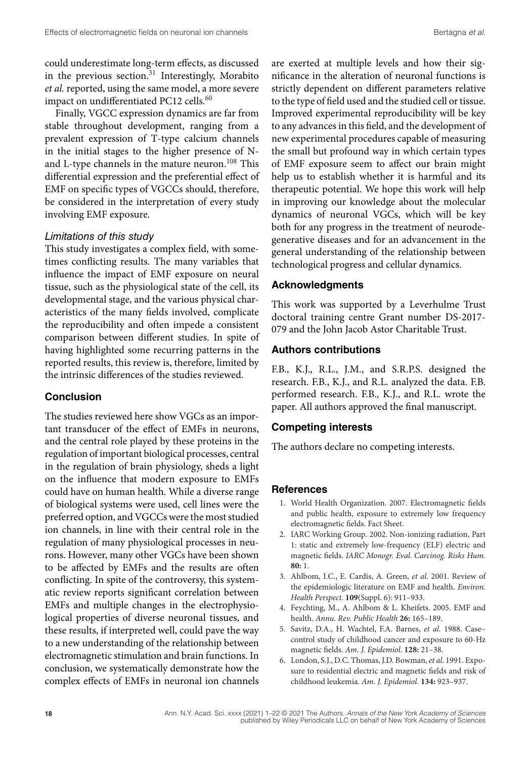could underestimate long-term effects, as discussed in the previous section.<sup>31</sup> Interestingly, Morabito *et al.* reported, using the same model, a more severe impact on undifferentiated PC12 cells.<sup>60</sup>

Finally, VGCC expression dynamics are far from stable throughout development, ranging from a prevalent expression of T-type calcium channels in the initial stages to the higher presence of Nand L-type channels in the mature neuron.<sup>108</sup> This differential expression and the preferential effect of EMF on specific types of VGCCs should, therefore, be considered in the interpretation of every study involving EMF exposure.

## *Limitations of this study*

This study investigates a complex field, with sometimes conflicting results. The many variables that influence the impact of EMF exposure on neural tissue, such as the physiological state of the cell, its developmental stage, and the various physical characteristics of the many fields involved, complicate the reproducibility and often impede a consistent comparison between different studies. In spite of having highlighted some recurring patterns in the reported results, this review is, therefore, limited by the intrinsic differences of the studies reviewed.

## **Conclusion**

The studies reviewed here show VGCs as an important transducer of the effect of EMFs in neurons, and the central role played by these proteins in the regulation of important biological processes, central in the regulation of brain physiology, sheds a light on the influence that modern exposure to EMFs could have on human health. While a diverse range of biological systems were used, cell lines were the preferred option, and VGCCs were the most studied ion channels, in line with their central role in the regulation of many physiological processes in neurons. However, many other VGCs have been shown to be affected by EMFs and the results are often conflicting. In spite of the controversy, this systematic review reports significant correlation between EMFs and multiple changes in the electrophysiological properties of diverse neuronal tissues, and these results, if interpreted well, could pave the way to a new understanding of the relationship between electromagnetic stimulation and brain functions. In conclusion, we systematically demonstrate how the complex effects of EMFs in neuronal ion channels

are exerted at multiple levels and how their significance in the alteration of neuronal functions is strictly dependent on different parameters relative to the type of field used and the studied cell or tissue. Improved experimental reproducibility will be key to any advances in this field, and the development of new experimental procedures capable of measuring the small but profound way in which certain types of EMF exposure seem to affect our brain might help us to establish whether it is harmful and its therapeutic potential. We hope this work will help in improving our knowledge about the molecular dynamics of neuronal VGCs, which will be key both for any progress in the treatment of neurodegenerative diseases and for an advancement in the general understanding of the relationship between technological progress and cellular dynamics.

### **Acknowledgments**

This work was supported by a Leverhulme Trust doctoral training centre Grant number DS-2017- 079 and the John Jacob Astor Charitable Trust.

## **Authors contributions**

F.B., K.J., R.L., J.M., and S.R.P.S. designed the research. F.B., K.J., and R.L. analyzed the data. F.B. performed research. F.B., K.J., and R.L. wrote the paper. All authors approved the final manuscript.

#### **Competing interests**

The authors declare no competing interests.

#### **References**

- 1. World Health Organization. 2007. Electromagnetic fields and public health, exposure to extremely low frequency electromagnetic fields. Fact Sheet.
- 2. IARC Working Group. 2002. Non-ionizing radiation, Part 1: static and extremely low-frequency (ELF) electric and magnetic fields. *IARC Monogr. Eval. Carcinog. Risks Hum.* **80:** 1.
- 3. Ahlbom, I.C., E. Cardis, A. Green, *et al.* 2001. Review of the epidemiologic literature on EMF and health. *Environ. Health Perspect.* **109**(Suppl. 6): 911–933.
- 4. Feychting, M., A. Ahlbom & L. Kheifets. 2005. EMF and health. *Annu. Rev. Public Health* **26:** 165–189.
- 5. Savitz, D.A., H. Wachtel, F.A. Barnes, *et al.* 1988. Case– control study of childhood cancer and exposure to 60-Hz magnetic fields. *Am. J. Epidemiol.* **128:** 21–38.
- 6. London, S.J., D.C. Thomas, J.D. Bowman, *et al.* 1991. Exposure to residential electric and magnetic fields and risk of childhood leukemia. *Am. J. Epidemiol.* **134:** 923–937.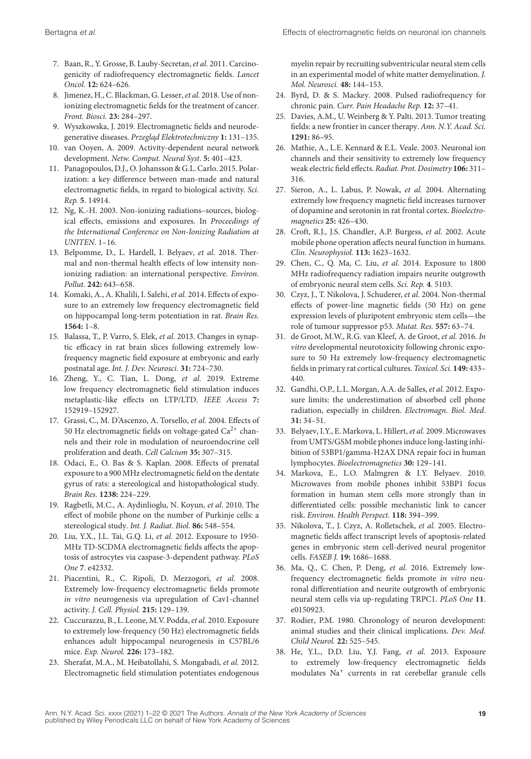- 7. Baan, R., Y. Grosse, B. Lauby-Secretan, *et al.* 2011. Carcinogenicity of radiofrequency electromagnetic fields. *Lancet Oncol.* **12:** 624–626.
- 8. Jimenez, H., C. Blackman, G. Lesser, *et al.* 2018. Use of nonionizing electromagnetic fields for the treatment of cancer. *Front. Biosci.* **23:** 284–297.
- 9. Wyszkowska, J. 2019. Electromagnetic fields and neurodegenerative diseases. Przegląd Elektrotechniczny 1: 131-135.
- 10. van Ooyen, A. 2009. Activity-dependent neural network development. *Netw. Comput. Neural Syst*. **5:** 401–423.
- 11. Panagopoulos, D.J., O. Johansson & G.L. Carlo. 2015. Polarization: a key difference between man-made and natural electromagnetic fields, in regard to biological activity. *Sci. Rep.* **5**. 14914.
- 12. Ng, K.-H. 2003. Non-ionizing radiations–sources, biological effects, emissions and exposures. In *Proceedings of the International Conference on Non-Ionizing Radiation at UNITEN*. 1–16.
- 13. Belpomme, D., L. Hardell, I. Belyaev, *et al.* 2018. Thermal and non-thermal health effects of low intensity nonionizing radiation: an international perspective. *Environ. Pollut.* **242:** 643–658.
- 14. Komaki, A., A. Khalili, I. Salehi, *et al.* 2014. Effects of exposure to an extremely low frequency electromagnetic field on hippocampal long-term potentiation in rat. *Brain Res.* **1564:** 1–8.
- 15. Balassa, T., P. Varro, S. Elek, *et al.* 2013. Changes in synaptic efficacy in rat brain slices following extremely lowfrequency magnetic field exposure at embryonic and early postnatal age. *Int. J. Dev. Neurosci.* **31:** 724–730.
- 16. Zheng, Y., C. Tian, L. Dong, *et al.* 2019. Extreme low frequency electromagnetic field stimulation induces metaplastic-like effects on LTP/LTD. *IEEE Access* **7:** 152919–152927.
- 17. Grassi, C., M. D'Ascenzo, A. Torsello, *et al.* 2004. Effects of 50 Hz electromagnetic fields on voltage-gated  $Ca^{2+}$  channels and their role in modulation of neuroendocrine cell proliferation and death. *Cell Calcium* **35:** 307–315.
- 18. Odaci, E., O. Bas & S. Kaplan. 2008. Effects of prenatal exposure to a 900 MHz electromagnetic field on the dentate gyrus of rats: a stereological and histopathological study. *Brain Res.* **1238:** 224–229.
- 19. Ragbetli, M.C., A. Aydinlioglu, N. Koyun, *et al.* 2010. The effect of mobile phone on the number of Purkinje cells: a stereological study. *Int. J. Radiat. Biol.* **86:** 548–554.
- 20. Liu, Y.X., J.L. Tai, G.Q. Li, *et al.* 2012. Exposure to 1950- MHz TD-SCDMA electromagnetic fields affects the apoptosis of astrocytes via caspase-3-dependent pathway. *PLoS One* **7**. e42332.
- 21. Piacentini, R., C. Ripoli, D. Mezzogori, *et al.* 2008. Extremely low-frequency electromagnetic fields promote *in vitro* neurogenesis via upregulation of Cav1-channel activity. *J. Cell. Physiol.* **215:** 129–139.
- 22. Cuccurazzu, B., L. Leone, M.V. Podda, *et al.* 2010. Exposure to extremely low-frequency (50 Hz) electromagnetic fields enhances adult hippocampal neurogenesis in C57BL/6 mice. *Exp. Neurol.* **226:** 173–182.
- 23. Sherafat, M.A., M. Heibatollahi, S. Mongabadi, *et al.* 2012. Electromagnetic field stimulation potentiates endogenous

myelin repair by recruiting subventricular neural stem cells in an experimental model of white matter demyelination. *J. Mol. Neurosci.* **48:** 144–153.

- 24. Byrd, D. & S. Mackey. 2008. Pulsed radiofrequency for chronic pain. *Curr. Pain Headache Rep.* **12:** 37–41.
- 25. Davies, A.M., U. Weinberg & Y. Palti. 2013. Tumor treating fields: a new frontier in cancer therapy. *Ann. N.Y. Acad. Sci.* **1291:** 86–95.
- 26. Mathie, A., L.E. Kennard & E.L. Veale. 2003. Neuronal ion channels and their sensitivity to extremely low frequency weak electric field effects.*Radiat. Prot. Dosimetry* **106:** 311– 316.
- 27. Sieron, A., L. Labus, P. Nowak, *et al.* 2004. Alternating extremely low frequency magnetic field increases turnover of dopamine and serotonin in rat frontal cortex. *Bioelectromagnetics* **25:** 426–430.
- 28. Croft, R.J., J.S. Chandler, A.P. Burgess, *et al.* 2002. Acute mobile phone operation affects neural function in humans. *Clin. Neurophysiol.* **113:** 1623–1632.
- 29. Chen, C., Q. Ma, C. Liu, *et al.* 2014. Exposure to 1800 MHz radiofrequency radiation impairs neurite outgrowth of embryonic neural stem cells. *Sci. Rep.* **4**. 5103.
- 30. Czyz, J., T. Nikolova, J. Schuderer, *et al.* 2004. Non-thermal effects of power-line magnetic fields (50 Hz) on gene expression levels of pluripotent embryonic stem cells—the role of tumour suppressor p53. *Mutat. Res.* **557:** 63–74.
- 31. de Groot, M.W., R.G. van Kleef, A. de Groot, *et al.* 2016. *In vitro* developmental neurotoxicity following chronic exposure to 50 Hz extremely low-frequency electromagnetic fields in primary rat cortical cultures. *Toxicol. Sci.* **149:** 433– 440.
- 32. Gandhi, O.P., L.L. Morgan, A.A. de Salles, *et al.* 2012. Exposure limits: the underestimation of absorbed cell phone radiation, especially in children. *Electromagn. Biol. Med*. **31:** 34–51.
- 33. Belyaev, I.Y., E. Markova, L. Hillert, *et al.* 2009. Microwaves from UMTS/GSM mobile phones induce long-lasting inhibition of 53BP1/gamma-H2AX DNA repair foci in human lymphocytes. *Bioelectromagnetics* **30:** 129–141.
- 34. Markova, E., L.O. Malmgren & I.Y. Belyaev. 2010. Microwaves from mobile phones inhibit 53BP1 focus formation in human stem cells more strongly than in differentiated cells: possible mechanistic link to cancer risk. *Environ. Health Perspect.* **118:** 394–399.
- 35. Nikolova, T., J. Czyz, A. Rolletschek, *et al.* 2005. Electromagnetic fields affect transcript levels of apoptosis-related genes in embryonic stem cell-derived neural progenitor cells. *FASEB J.* **19:** 1686–1688.
- 36. Ma, Q., C. Chen, P. Deng, *et al.* 2016. Extremely lowfrequency electromagnetic fields promote *in vitro* neuronal differentiation and neurite outgrowth of embryonic neural stem cells via up-regulating TRPC1. *PLoS One* **11**. e0150923.
- 37. Rodier, P.M. 1980. Chronology of neuron development: animal studies and their clinical implications. *Dev. Med. Child Neurol.* **22:** 525–545.
- 38. He, Y.L., D.D. Liu, Y.J. Fang, *et al.* 2013. Exposure to extremely low-frequency electromagnetic fields modulates Na<sup>+</sup> currents in rat cerebellar granule cells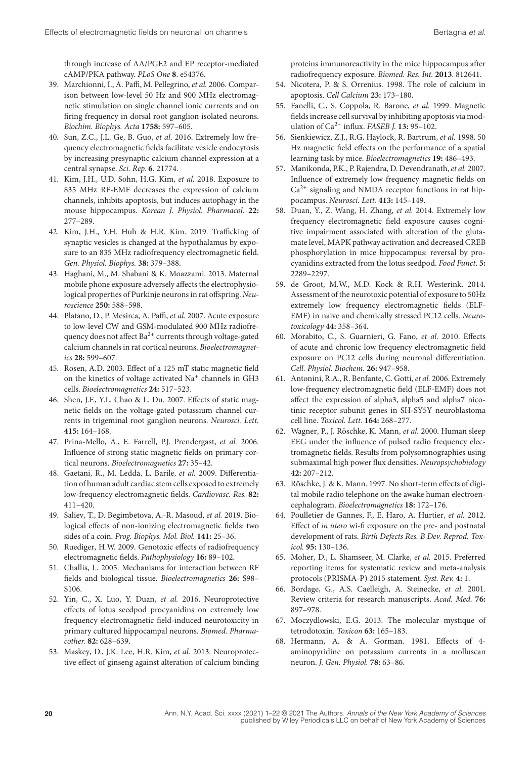through increase of AA/PGE2 and EP receptor-mediated cAMP/PKA pathway. *PLoS One* **8**. e54376.

- 39. Marchionni, I., A. Paffi, M. Pellegrino, *et al.* 2006. Comparison between low-level 50 Hz and 900 MHz electromagnetic stimulation on single channel ionic currents and on firing frequency in dorsal root ganglion isolated neurons. *Biochim. Biophys. Acta* **1758:** 597–605.
- 40. Sun, Z.C., J.L. Ge, B. Guo, *et al.* 2016. Extremely low frequency electromagnetic fields facilitate vesicle endocytosis by increasing presynaptic calcium channel expression at a central synapse. *Sci. Rep.* **6**. 21774.
- 41. Kim, J.H., U.D. Sohn, H.G. Kim, *et al.* 2018. Exposure to 835 MHz RF-EMF decreases the expression of calcium channels, inhibits apoptosis, but induces autophagy in the mouse hippocampus. *Korean J. Physiol. Pharmacol*. **22:** 277–289.
- 42. Kim, J.H., Y.H. Huh & H.R. Kim. 2019. Trafficking of synaptic vesicles is changed at the hypothalamus by exposure to an 835 MHz radiofrequency electromagnetic field. *Gen. Physiol. Biophys.* **38:** 379–388.
- 43. Haghani, M., M. Shabani & K. Moazzami. 2013. Maternal mobile phone exposure adversely affects the electrophysiological properties of Purkinje neurons in rat offspring. *Neuroscience* **250:** 588–598.
- 44. Platano, D., P. Mesirca, A. Paffi, *et al.* 2007. Acute exposure to low-level CW and GSM-modulated 900 MHz radiofrequency does not affect  $Ba^{2+}$  currents through voltage-gated calcium channels in rat cortical neurons. *Bioelectromagnetics* **28:** 599–607.
- 45. Rosen, A.D. 2003. Effect of a 125 mT static magnetic field on the kinetics of voltage activated Na<sup>+</sup> channels in GH3 cells. *Bioelectromagnetics* **24:** 517–523.
- 46. Shen, J.F., Y.L. Chao & L. Du. 2007. Effects of static magnetic fields on the voltage-gated potassium channel currents in trigeminal root ganglion neurons. *Neurosci. Lett.* **415:** 164–168.
- 47. Prina-Mello, A., E. Farrell, P.J. Prendergast, *et al.* 2006. Influence of strong static magnetic fields on primary cortical neurons. *Bioelectromagnetics* **27:** 35–42.
- 48. Gaetani, R., M. Ledda, L. Barile, *et al.* 2009. Differentiation of human adult cardiac stem cells exposed to extremely low-frequency electromagnetic fields. *Cardiovasc. Res.* **82:** 411–420.
- 49. Saliev, T., D. Begimbetova, A.-R. Masoud, *et al.* 2019. Biological effects of non-ionizing electromagnetic fields: two sides of a coin. *Prog. Biophys. Mol. Biol.* **141:** 25–36.
- 50. Ruediger, H.W. 2009. Genotoxic effects of radiofrequency electromagnetic fields. *Pathophysiology* **16:** 89–102.
- 51. Challis, L. 2005. Mechanisms for interaction between RF fields and biological tissue. *Bioelectromagnetics* **26:** S98– S106.
- 52. Yin, C., X. Luo, Y. Duan, *et al.* 2016. Neuroprotective effects of lotus seedpod procyanidins on extremely low frequency electromagnetic field-induced neurotoxicity in primary cultured hippocampal neurons. *Biomed. Pharmacother.* **82:** 628–639.
- 53. Maskey, D., J.K. Lee, H.R. Kim, *et al.* 2013. Neuroprotective effect of ginseng against alteration of calcium binding

proteins immunoreactivity in the mice hippocampus after radiofrequency exposure. *Biomed. Res. Int.* **2013**. 812641.

- 54. Nicotera, P. & S. Orrenius. 1998. The role of calcium in apoptosis. *Cell Calcium* **23:** 173–180.
- 55. Fanelli, C., S. Coppola, R. Barone, *et al.* 1999. Magnetic fields increase cell survival by inhibiting apoptosis via modulation of Ca2+ influx. *FASEB J.* **13:** 95–102.
- 56. Sienkiewicz, Z.J., R.G. Haylock, R. Bartrum, *et al.* 1998. 50 Hz magnetic field effects on the performance of a spatial learning task by mice. *Bioelectromagnetics* **19:** 486–493.
- 57. Manikonda, P.K., P. Rajendra, D. Devendranath, *et al.* 2007. Influence of extremely low frequency magnetic fields on  $Ca<sup>2+</sup>$  signaling and NMDA receptor functions in rat hippocampus. *Neurosci. Lett.* **413:** 145–149.
- 58. Duan, Y., Z. Wang, H. Zhang, *et al.* 2014. Extremely low frequency electromagnetic field exposure causes cognitive impairment associated with alteration of the glutamate level, MAPK pathway activation and decreased CREB phosphorylation in mice hippocampus: reversal by procyanidins extracted from the lotus seedpod. *Food Funct*. **5:** 2289–2297.
- 59. de Groot, M.W., M.D. Kock & R.H. Westerink. 2014. Assessment of the neurotoxic potential of exposure to 50Hz extremely low frequency electromagnetic fields (ELF-EMF) in naive and chemically stressed PC12 cells. *Neurotoxicology* **44:** 358–364.
- 60. Morabito, C., S. Guarnieri, G. Fano, *et al.* 2010. Effects of acute and chronic low frequency electromagnetic field exposure on PC12 cells during neuronal differentiation. *Cell. Physiol. Biochem.* **26:** 947–958.
- 61. Antonini, R.A., R. Benfante, C. Gotti, *et al.* 2006. Extremely low-frequency electromagnetic field (ELF-EMF) does not affect the expression of alpha3, alpha5 and alpha7 nicotinic receptor subunit genes in SH-SY5Y neuroblastoma cell line. *Toxicol. Lett.* **164:** 268–277.
- 62. Wagner, P., J. Röschke, K. Mann, *et al.* 2000. Human sleep EEG under the influence of pulsed radio frequency electromagnetic fields. Results from polysomnographies using submaximal high power flux densities. *Neuropsychobiology* **42:** 207–212.
- 63. Röschke, J. & K. Mann. 1997. No short-term effects of digital mobile radio telephone on the awake human electroencephalogram. *Bioelectromagnetics* **18:** 172–176.
- 64. Poulletier de Gannes, F., E. Haro, A. Hurtier, *et al.* 2012. Effect of *in utero* wi-fi exposure on the pre- and postnatal development of rats. *Birth Defects Res. B Dev. Reprod. Toxicol.* **95:** 130–136.
- 65. Moher, D., L. Shamseer, M. Clarke, *et al.* 2015. Preferred reporting items for systematic review and meta-analysis protocols (PRISMA-P) 2015 statement. *Syst. Rev.* **4:** 1.
- 66. Bordage, G., A.S. Caelleigh, A. Steinecke, *et al.* 2001. Review criteria for research manuscripts. *Acad. Med.* **76:** 897–978.
- 67. Moczydlowski, E.G. 2013. The molecular mystique of tetrodotoxin. *Toxicon* **63:** 165–183.
- 68. Hermann, A. & A. Gorman. 1981. Effects of 4 aminopyridine on potassium currents in a molluscan neuron. *J. Gen. Physiol.* **78:** 63–86.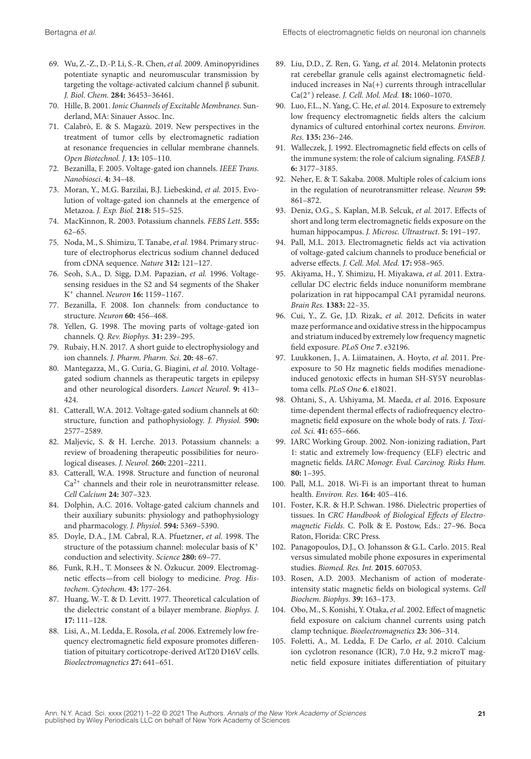- 69. Wu, Z.-Z., D.-P. Li, S.-R. Chen, *et al.* 2009. Aminopyridines potentiate synaptic and neuromuscular transmission by targeting the voltage-activated calcium channel β subunit. *J. Biol. Chem.* **284:** 36453–36461.
- 70. Hille, B. 2001. *Ionic Channels of Excitable Membranes*. Sunderland, MA: Sinauer Assoc. Inc.
- 71. Calabrò, E. & S. Magazù. 2019. New perspectives in the treatment of tumor cells by electromagnetic radiation at resonance frequencies in cellular membrane channels. *Open Biotechnol. J*. **13:** 105–110.
- 72. Bezanilla, F. 2005. Voltage-gated ion channels. *IEEE Trans. Nanobiosci*. **4:** 34–48.
- 73. Moran, Y., M.G. Barzilai, B.J. Liebeskind, *et al.* 2015. Evolution of voltage-gated ion channels at the emergence of Metazoa. *J. Exp. Biol.* **218:** 515–525.
- 74. MacKinnon, R. 2003. Potassium channels. *FEBS Lett.* **555:** 62–65.
- 75. Noda, M., S. Shimizu, T. Tanabe, *et al.* 1984. Primary structure of electrophorus electricus sodium channel deduced from cDNA sequence. *Nature* **312:** 121–127.
- 76. Seoh, S.A., D. Sigg, D.M. Papazian, *et al.* 1996. Voltagesensing residues in the S2 and S4 segments of the Shaker K+ channel. *Neuron* **16:** 1159–1167.
- 77. Bezanilla, F. 2008. Ion channels: from conductance to structure. *Neuron* **60:** 456–468.
- 78. Yellen, G. 1998. The moving parts of voltage-gated ion channels. *Q. Rev. Biophys.* **31:** 239–295.
- 79. Rubaiy, H.N. 2017. A short guide to electrophysiology and ion channels. *J. Pharm. Pharm. Sci*. **20:** 48–67.
- 80. Mantegazza, M., G. Curia, G. Biagini, *et al.* 2010. Voltagegated sodium channels as therapeutic targets in epilepsy and other neurological disorders. *Lancet Neurol*. **9:** 413– 424.
- 81. Catterall, W.A. 2012. Voltage-gated sodium channels at 60: structure, function and pathophysiology. *J. Physiol.* **590:** 2577–2589.
- 82. Maljevic, S. & H. Lerche. 2013. Potassium channels: a review of broadening therapeutic possibilities for neurological diseases. *J. Neurol.* **260:** 2201–2211.
- 83. Catterall, W.A. 1998. Structure and function of neuronal  $Ca<sup>2+</sup>$  channels and their role in neurotransmitter release. *Cell Calcium* **24:** 307–323.
- 84. Dolphin, A.C. 2016. Voltage-gated calcium channels and their auxiliary subunits: physiology and pathophysiology and pharmacology. *J. Physiol.* **594:** 5369–5390.
- 85. Doyle, D.A., J.M. Cabral, R.A. Pfuetzner, *et al.* 1998. The structure of the potassium channel: molecular basis of K<sup>+</sup> conduction and selectivity. *Science* **280:** 69–77.
- 86. Funk, R.H., T. Monsees & N. Özkucur. 2009. Electromagnetic effects—from cell biology to medicine. *Prog. Histochem. Cytochem.* **43:** 177–264.
- 87. Huang, W.-T. & D. Levitt. 1977. Theoretical calculation of the dielectric constant of a bilayer membrane. *Biophys. J.* **17:** 111–128.
- 88. Lisi, A., M. Ledda, E. Rosola, *et al.* 2006. Extremely low frequency electromagnetic field exposure promotes differentiation of pituitary corticotrope-derived AtT20 D16V cells. *Bioelectromagnetics* **27:** 641–651.
- 89. Liu, D.D., Z. Ren, G. Yang, *et al.* 2014. Melatonin protects rat cerebellar granule cells against electromagnetic fieldinduced increases in Na(+) currents through intracellular Ca(2+) release. *J. Cell. Mol. Med.* **18:** 1060–1070.
- 90. Luo, F.L., N. Yang, C. He, *et al.* 2014. Exposure to extremely low frequency electromagnetic fields alters the calcium dynamics of cultured entorhinal cortex neurons. *Environ. Res.* **135:** 236–246.
- 91. Walleczek, J. 1992. Electromagnetic field effects on cells of the immune system: the role of calcium signaling. *FASEB J.* **6:** 3177–3185.
- 92. Neher, E. & T. Sakaba. 2008. Multiple roles of calcium ions in the regulation of neurotransmitter release. *Neuron* **59:** 861–872.
- 93. Deniz, O.G., S. Kaplan, M.B. Selcuk, *et al.* 2017. Effects of short and long term electromagnetic fields exposure on the human hippocampus. *J. Microsc. Ultrastruct*. **5:** 191–197.
- 94. Pall, M.L. 2013. Electromagnetic fields act via activation of voltage-gated calcium channels to produce beneficial or adverse effects. *J. Cell. Mol. Med.* **17:** 958–965.
- 95. Akiyama, H., Y. Shimizu, H. Miyakawa, *et al.* 2011. Extracellular DC electric fields induce nonuniform membrane polarization in rat hippocampal CA1 pyramidal neurons. *Brain Res.* **1383:** 22–35.
- 96. Cui, Y., Z. Ge, J.D. Rizak, *et al.* 2012. Deficits in water maze performance and oxidative stress in the hippocampus and striatum induced by extremely low frequency magnetic field exposure. *PLoS One* **7**. e32196.
- 97. Luukkonen, J., A. Liimatainen, A. Hoyto, *et al.* 2011. Preexposure to 50 Hz magnetic fields modifies menadioneinduced genotoxic effects in human SH-SY5Y neuroblastoma cells. *PLoS One* **6**. e18021.
- 98. Ohtani, S., A. Ushiyama, M. Maeda, *et al.* 2016. Exposure time-dependent thermal effects of radiofrequency electromagnetic field exposure on the whole body of rats. *J. Toxicol. Sci.* **41:** 655–666.
- 99. IARC Working Group. 2002. Non-ionizing radiation, Part 1: static and extremely low-frequency (ELF) electric and magnetic fields. *IARC Monogr. Eval. Carcinog. Risks Hum.* **80:** 1–395.
- 100. Pall, M.L. 2018. Wi-Fi is an important threat to human health. *Environ. Res.* **164:** 405–416.
- 101. Foster, K.R. & H.P. Schwan. 1986. Dielectric properties of tissues. In *CRC Handbook of Biological Effects of Electromagnetic Fields*. C. Polk & E. Postow, Eds.: 27–96. Boca Raton, Florida: CRC Press.
- 102. Panagopoulos, D.J., O. Johansson & G.L. Carlo. 2015. Real versus simulated mobile phone exposures in experimental studies. *Biomed. Res. Int.* **2015**. 607053.
- 103. Rosen, A.D. 2003. Mechanism of action of moderateintensity static magnetic fields on biological systems. *Cell Biochem. Biophys.* **39:** 163–173.
- 104. Obo, M., S. Konishi, Y. Otaka, *et al.* 2002. Effect of magnetic field exposure on calcium channel currents using patch clamp technique. *Bioelectromagnetics* **23:** 306–314.
- 105. Foletti, A., M. Ledda, F. De Carlo, *et al.* 2010. Calcium ion cyclotron resonance (ICR), 7.0 Hz, 9.2 microT magnetic field exposure initiates differentiation of pituitary